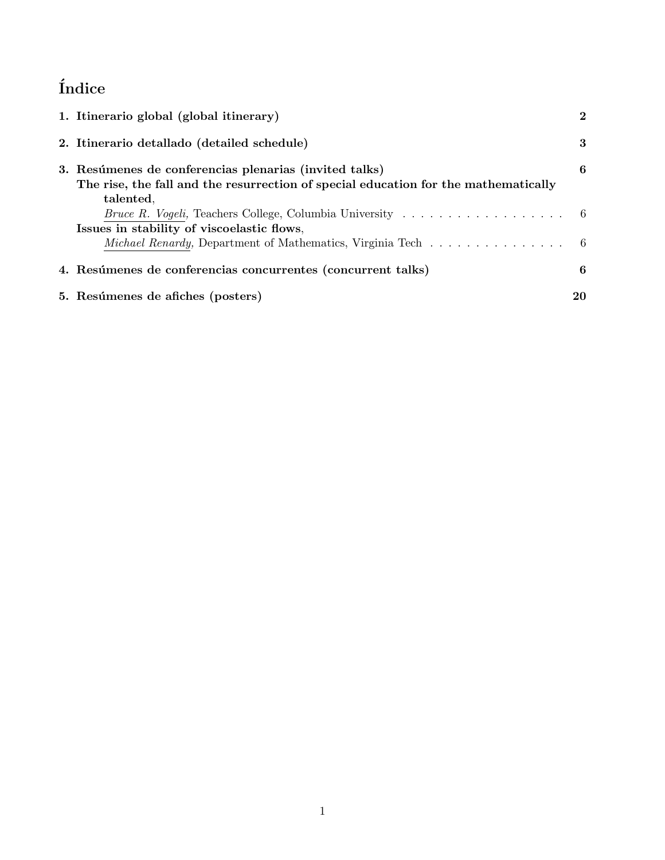# $\operatorname{\acute{t}}$ ndice

| 1. Itinerario global (global itinerary)                                                                                                                        | $\mathbf{2}$ |
|----------------------------------------------------------------------------------------------------------------------------------------------------------------|--------------|
| 2. Itinerario detallado (detailed schedule)                                                                                                                    | 3            |
| 3. Resúmenes de conferencias plenarias (invited talks)<br>The rise, the fall and the resurrection of special education for the mathematically                  | 6            |
| talented.<br><i>Bruce R. Vogeli</i> , Teachers College, Columbia University $\ldots \ldots \ldots \ldots \ldots$<br>Issues in stability of viscoelastic flows, |              |
| <i>Michael Renardy</i> , Department of Mathematics, Virginia Tech $\ldots \ldots \ldots \ldots \ldots$                                                         |              |
| 4. Resúmenes de conferencias concurrentes (concurrent talks)                                                                                                   | 6            |
| 5. Resúmenes de afiches (posters)                                                                                                                              | 20           |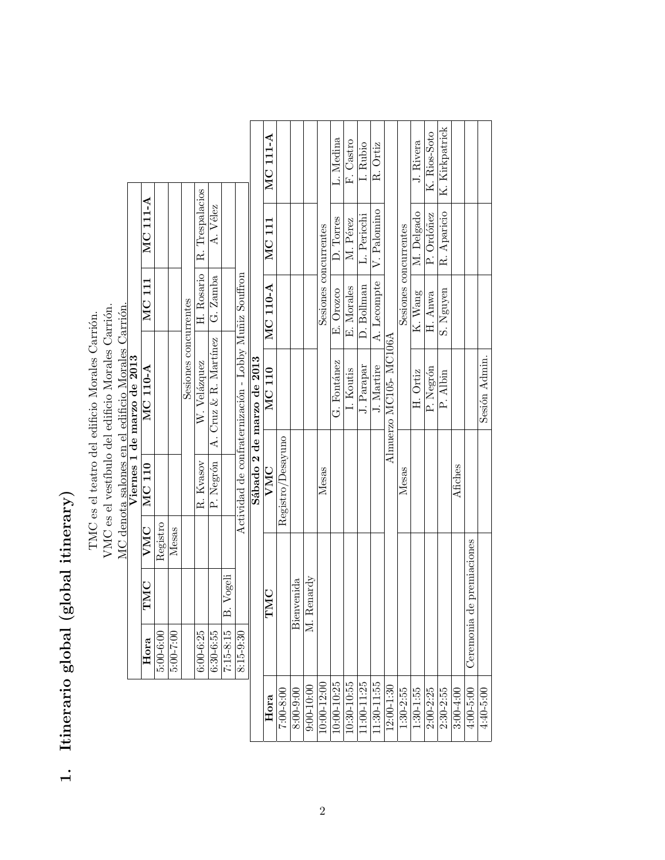# 1. Itinerario global (global itinerary) 1. Itinerario global (global itinerary)

VMC es el vestíbulo del edificio Morales Carrión.<br>MC denota salones en el edificio Morales Carrión. MC denota salones en el edificio Morales Carrión. VMC es el vestíbulo del edificio Morales Carrión. TMC es el teatro del edificio Morales Carrión. TMC es el teatro del edificio Morales Carrión.

|  | Viernes 1 de marzo de 2013 | $MCI11$ MC $111-A$ |               |           |                       | H. Rosario   R. Trespalacios | A. Vélez                                     |                       |                                                       |
|--|----------------------------|--------------------|---------------|-----------|-----------------------|------------------------------|----------------------------------------------|-----------------------|-------------------------------------------------------|
|  |                            |                    |               |           |                       |                              |                                              |                       |                                                       |
|  |                            | MC 110-A           |               |           | Sesiones concurrentes | W. Velázquez                 | P. Negrón   A. Cruz & R. Martínez   G. Zamba |                       | Actividad de confraternización - Lobby Muñiz Souffron |
|  |                            | TMC   VMC   MC 110 |               |           |                       | R. Kvasov                    |                                              |                       |                                                       |
|  |                            |                    | Registro      | Mesas     |                       |                              |                                              |                       |                                                       |
|  |                            |                    |               |           |                       |                              |                                              |                       |                                                       |
|  |                            | Hora               | $5.00 - 6.00$ | 5:00-7:00 |                       | $6:00 - 6:25$                | 6:30-6:55                                    | 7:15-8:15   B. Vogeli | 8:15-9:30                                             |

|                           | <b>MC 111-A</b> |                   |            |              | Sesiones concurrentes<br>Mesas | L. Medina   | F. Castro   | I. Rubio       | R. Ortiz       |                        | Sesiones concurrentes | J. Rivera  | $\overline{K}$ . Rios-Soto | K. Kirkpatrick |           |                               |               |
|---------------------------|-----------------|-------------------|------------|--------------|--------------------------------|-------------|-------------|----------------|----------------|------------------------|-----------------------|------------|----------------------------|----------------|-----------|-------------------------------|---------------|
|                           | <b>MC 111</b>   |                   |            |              |                                | D. Torres   | M. Pérez    | L. Pericchi    | V. Palomino    |                        |                       | M. Delgado | P. Ordóñez                 | R. Aparicio    |           |                               |               |
|                           | MC 110-A        |                   |            |              |                                | E. Orozco   | E. Morales  | D. Bollman     | A. Lecompte    | Almuerzo MC105- MC106A |                       | K. Wang    | H. Anwa                    | S. Nguyen      |           |                               |               |
|                           | <b>MC 110</b>   |                   |            |              |                                | G. Fontánez | I. Koutis   | J. Parapar     | J. Martire     |                        |                       | H. Ortiz   | P. Negrón                  | P. Albin       |           |                               | Sesión Admin. |
| Sábado 2 de marzo de 2013 | VMC             | Registro/Desayuno |            |              |                                |             |             |                |                |                        | Mesas                 |            |                            |                | Afiches   |                               |               |
|                           | TMC             |                   | Bienvenida | M. Renardy   |                                |             |             |                |                |                        |                       |            |                            |                |           | e premiaciones<br>Ceremonia d |               |
|                           | Hora            | 7:00-8:00         | 8:00-9:00  | $9:00-10:00$ | 10:00-12:00                    | 10:00-10:25 | 10:30-10:55 | $1:00 - 11:25$ | $1:30 - 11:55$ | $12:00-1:30$           | 1:30-2:55             | 1:30-1:55  | $2:00 - 2:25$              | $2:30 - 2:55$  | 3:00-4:00 | 4:00-5:00                     | 4:40-5:00     |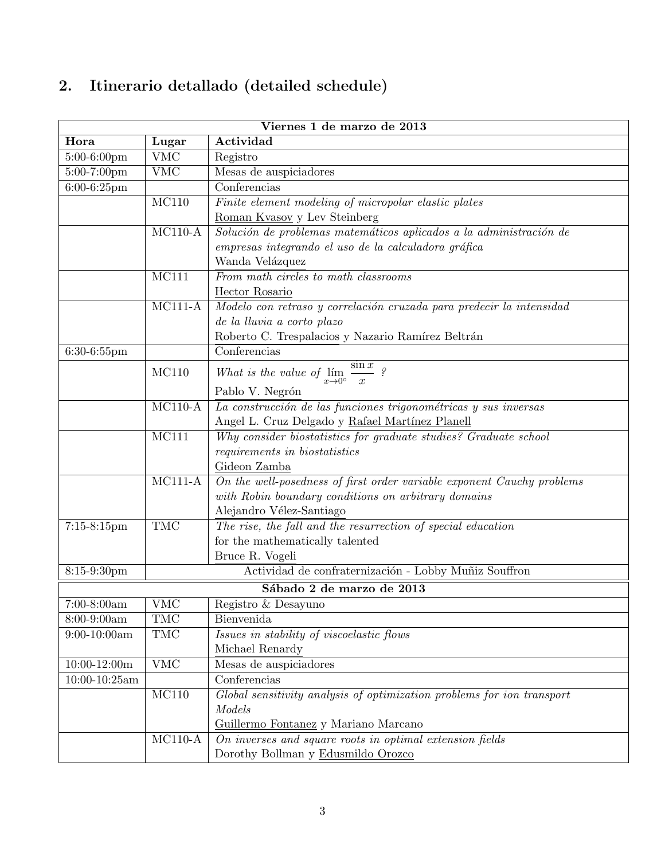# 2. Itinerario detallado (detailed schedule)

|                   | Viernes 1 de marzo de 2013                                      |                                                                          |  |  |  |  |  |
|-------------------|-----------------------------------------------------------------|--------------------------------------------------------------------------|--|--|--|--|--|
| Hora              | Lugar                                                           | Actividad                                                                |  |  |  |  |  |
| 5:00-6:00pm       | <b>VMC</b>                                                      | Registro                                                                 |  |  |  |  |  |
| 5:00-7:00pm       | <b>VMC</b>                                                      | Mesas de auspiciadores                                                   |  |  |  |  |  |
| 6:00-6:25pm       |                                                                 | Conferencias                                                             |  |  |  |  |  |
|                   | MC110                                                           | Finite element modeling of micropolar elastic plates                     |  |  |  |  |  |
|                   |                                                                 | Roman Kvasov y Lev Steinberg                                             |  |  |  |  |  |
|                   | $MC110-A$                                                       | Solución de problemas matemáticos aplicados a la administración de       |  |  |  |  |  |
|                   |                                                                 | empresas integrando el uso de la calculadora gráfica                     |  |  |  |  |  |
|                   |                                                                 | Wanda Velázquez                                                          |  |  |  |  |  |
|                   | MC111                                                           | From math circles to math classrooms                                     |  |  |  |  |  |
|                   |                                                                 | Hector Rosario                                                           |  |  |  |  |  |
|                   | $MC111-A$                                                       | Modelo con retraso y correlación cruzada para predecir la intensidad     |  |  |  |  |  |
|                   |                                                                 | $de\ la\ lluvia\ a\ corto\ plazo$                                        |  |  |  |  |  |
|                   |                                                                 | Roberto C. Trespalacios y Nazario Ramírez Beltrán                        |  |  |  |  |  |
| 6:30-6:55pm       |                                                                 | Conferencias                                                             |  |  |  |  |  |
|                   | MC110                                                           | What is the value of $\lim_{x\to 0^{\circ}} \frac{\sin x}{x}$ ?          |  |  |  |  |  |
|                   |                                                                 |                                                                          |  |  |  |  |  |
|                   | $MC110-A$                                                       | Pablo V. Negrón                                                          |  |  |  |  |  |
|                   | La construcción de las funciones trigonométricas y sus inversas |                                                                          |  |  |  |  |  |
|                   |                                                                 | Angel L. Cruz Delgado y Rafael Martínez Planell                          |  |  |  |  |  |
|                   | MC111                                                           | Why consider biostatistics for graduate studies? Graduate school         |  |  |  |  |  |
|                   |                                                                 | requirements in biostatistics                                            |  |  |  |  |  |
|                   | $MC111-A$                                                       | Gideon Zamba                                                             |  |  |  |  |  |
|                   |                                                                 | On the well-posedness of first order variable exponent Cauchy problems   |  |  |  |  |  |
|                   |                                                                 | with Robin boundary conditions on arbitrary domains                      |  |  |  |  |  |
|                   |                                                                 | Alejandro Vélez-Santiago                                                 |  |  |  |  |  |
| $7:15-8:15$ pm    | <b>TMC</b>                                                      | The rise, the fall and the resurrection of special education             |  |  |  |  |  |
|                   |                                                                 | for the mathematically talented                                          |  |  |  |  |  |
|                   |                                                                 | Bruce R. Vogeli<br>Actividad de confraternización - Lobby Muñiz Souffron |  |  |  |  |  |
| 8:15-9:30pm       |                                                                 |                                                                          |  |  |  |  |  |
|                   |                                                                 | Sábado 2 de marzo de 2013                                                |  |  |  |  |  |
| $7:00-8:00am$     | VMC                                                             | Registro & Desayuno                                                      |  |  |  |  |  |
| 8:00-9:00am       | TMC                                                             | Bienvenida                                                               |  |  |  |  |  |
| $9:00-10:00am$    | TMC                                                             | Issues in stability of viscoelastic flows                                |  |  |  |  |  |
|                   |                                                                 | Michael Renardy                                                          |  |  |  |  |  |
| $10:00-12:00m$    | <b>VMC</b>                                                      | Mesas de auspiciadores                                                   |  |  |  |  |  |
| $10:00 - 10:25am$ |                                                                 | Conferencias                                                             |  |  |  |  |  |
|                   | MC110                                                           | Global sensitivity analysis of optimization problems for ion transport   |  |  |  |  |  |
|                   |                                                                 | Models                                                                   |  |  |  |  |  |
|                   |                                                                 | Guillermo Fontanez y Mariano Marcano                                     |  |  |  |  |  |
|                   | $MC110-A$                                                       | On inverses and square roots in optimal extension fields                 |  |  |  |  |  |
|                   |                                                                 | Dorothy Bollman y Edusmildo Orozco                                       |  |  |  |  |  |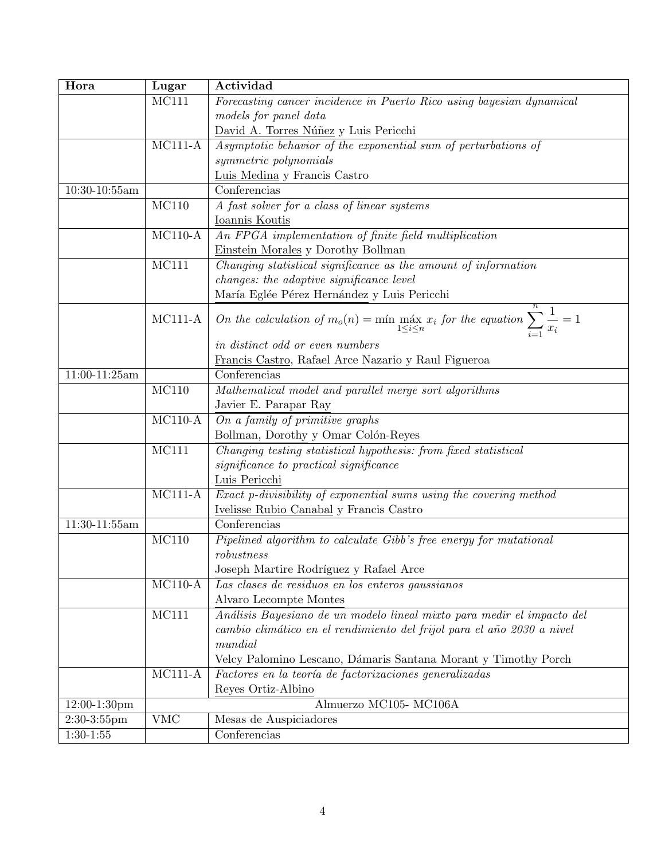| Hora            | Lugar                 | Actividad                                                                                                                |
|-----------------|-----------------------|--------------------------------------------------------------------------------------------------------------------------|
|                 | MC111                 | Forecasting cancer incidence in Puerto Rico using bayesian dynamical                                                     |
|                 |                       | models for panel data                                                                                                    |
|                 |                       | David A. Torres Núñez y Luis Pericchi                                                                                    |
|                 | $MC111-A$             | Asymptotic behavior of the exponential sum of perturbations of                                                           |
|                 |                       | symmetric polynomials                                                                                                    |
|                 |                       | Luis Medina y Francis Castro                                                                                             |
| $10:30-10:55am$ |                       | Conferencias                                                                                                             |
|                 | MC110                 | A fast solver for a class of linear systems                                                                              |
|                 |                       | Ioannis Koutis                                                                                                           |
|                 | $MC110-A$             | An FPGA implementation of finite field multiplication                                                                    |
|                 |                       | Einstein Morales y Dorothy Bollman                                                                                       |
|                 | MC111                 | Changing statistical significance as the amount of information                                                           |
|                 |                       | changes: the adaptive significance level                                                                                 |
|                 |                       | María Eglée Pérez Hernández y Luis Pericchi                                                                              |
|                 | $MC111-A$             | On the calculation of $m_o(n) = \min_{1 \leq i \leq n} \max_{x_i} x_i$ for the equation $\sum_{i=1}^n \frac{1}{x_i} = 1$ |
|                 |                       | in distinct odd or even numbers                                                                                          |
|                 |                       | Francis Castro, Rafael Arce Nazario y Raul Figueroa                                                                      |
| $11:00-11:25am$ |                       | Conferencias                                                                                                             |
|                 | MC110                 | Mathematical model and parallel merge sort algorithms                                                                    |
|                 |                       | Javier E. Parapar Ray                                                                                                    |
|                 | $MC110-A$             | On a family of primitive graphs                                                                                          |
|                 |                       | Bollman, Dorothy y Omar Colón-Reyes                                                                                      |
|                 | MC111                 | Changing testing statistical hypothesis: from fixed statistical                                                          |
|                 |                       | significance to practical significance                                                                                   |
|                 |                       | Luis Pericchi                                                                                                            |
|                 | $MC111-A$             | Exact p-divisibility of exponential sums using the covering method                                                       |
|                 |                       | Ivelisse Rubio Canabal y Francis Castro                                                                                  |
| 11:30-11:55am   |                       | Conferencias                                                                                                             |
|                 | MC110                 | Pipelined algorithm to calculate Gibb's free energy for mutational                                                       |
|                 |                       | robustness                                                                                                               |
|                 |                       | Joseph Martire Rodríguez y Rafael Arce                                                                                   |
|                 | $MC110-A$             | Las clases de residuos en los enteros gaussianos                                                                         |
|                 |                       | Alvaro Lecompte Montes                                                                                                   |
|                 | MC111                 | Análisis Bayesiano de un modelo lineal mixto para medir el impacto del                                                   |
|                 |                       | cambio climático en el rendimiento del frijol para el año 2030 a nivel                                                   |
|                 |                       | mundial                                                                                                                  |
|                 |                       | Velcy Palomino Lescano, Dámaris Santana Morant y Timothy Porch                                                           |
|                 | $MC111-A$             | Factores en la teoría de factorizaciones generalizadas                                                                   |
|                 | Reyes Ortiz-Albino    |                                                                                                                          |
| $12:00-1:30$ pm | Almuerzo MC105-MC106A |                                                                                                                          |
| $2:30-3:55$ pm  | <b>VMC</b>            | Mesas de Auspiciadores                                                                                                   |
| $1:30-1:55$     |                       | Conferencias                                                                                                             |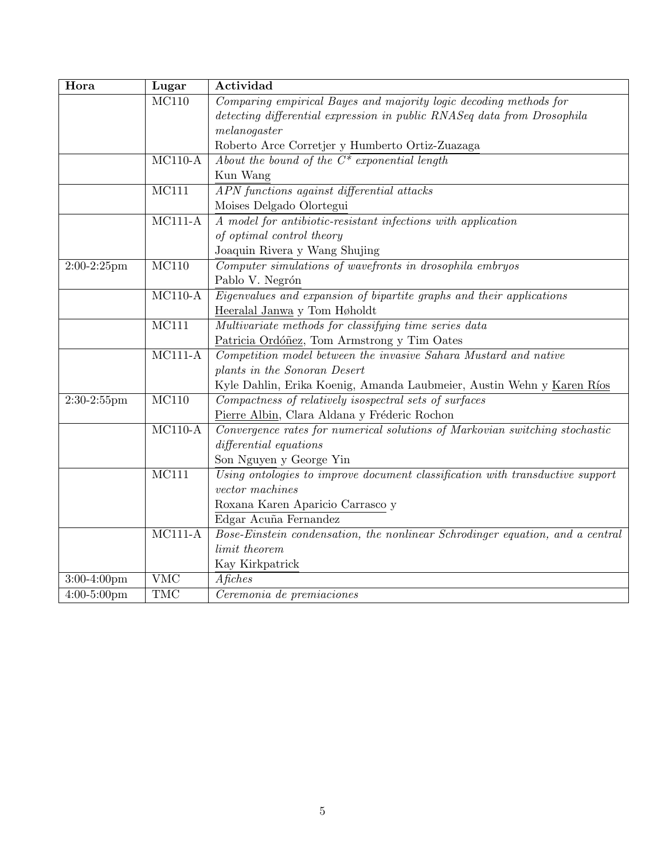| Hora           | Lugar       | Actividad                                                                     |  |  |  |  |  |
|----------------|-------------|-------------------------------------------------------------------------------|--|--|--|--|--|
|                | MC110       | Comparing empirical Bayes and majority logic decoding methods for             |  |  |  |  |  |
|                |             | detecting differential expression in public RNASeq data from Drosophila       |  |  |  |  |  |
|                |             | melanogaster                                                                  |  |  |  |  |  |
|                |             | Roberto Arce Corretjer y Humberto Ortiz-Zuazaga                               |  |  |  |  |  |
|                | $MC110-A$   | About the bound of the $C^*$ exponential length                               |  |  |  |  |  |
|                |             | Kun Wang                                                                      |  |  |  |  |  |
|                | MC111       | APN functions against differential attacks                                    |  |  |  |  |  |
|                |             | Moises Delgado Olortegui                                                      |  |  |  |  |  |
|                | $MC111-A$   | A model for antibiotic-resistant infections with application                  |  |  |  |  |  |
|                |             | of optimal control theory                                                     |  |  |  |  |  |
|                |             | Joaquin Rivera y Wang Shujing                                                 |  |  |  |  |  |
| $2:00-2:25$ pm | MC110       | Computer simulations of wavefronts in drosophila embryos                      |  |  |  |  |  |
|                |             | Pablo V. Negrón                                                               |  |  |  |  |  |
|                | $MC110-A$   | Eigenvalues and expansion of bipartite graphs and their applications          |  |  |  |  |  |
|                |             | Heeralal Janwa y Tom Høholdt                                                  |  |  |  |  |  |
|                | MC111       | Multivariate methods for classifying time series data                         |  |  |  |  |  |
|                |             | Patricia Ordóñez, Tom Armstrong y Tim Oates                                   |  |  |  |  |  |
|                | $MC111-A$   | Competition model between the invasive Sahara Mustard and native              |  |  |  |  |  |
|                |             | plants in the Sonoran Desert                                                  |  |  |  |  |  |
|                |             | Kyle Dahlin, Erika Koenig, Amanda Laubmeier, Austin Wehn y Karen Ríos         |  |  |  |  |  |
| $2:30-2:55$ pm | MC110       | Compactness of relatively isospectral sets of surfaces                        |  |  |  |  |  |
|                |             | Pierre Albin, Clara Aldana y Fréderic Rochon                                  |  |  |  |  |  |
|                | $MC110-A$   | Convergence rates for numerical solutions of Markovian switching stochastic   |  |  |  |  |  |
|                |             | differential equations                                                        |  |  |  |  |  |
|                |             | Son Nguyen y George Yin                                                       |  |  |  |  |  |
|                | MC111       | Using ontologies to improve document classification with transductive support |  |  |  |  |  |
|                |             | $vector\ machines$                                                            |  |  |  |  |  |
|                |             | Roxana Karen Aparicio Carrasco y                                              |  |  |  |  |  |
|                |             | Edgar Acuña Fernandez                                                         |  |  |  |  |  |
|                | $MC111 - A$ | Bose-Einstein condensation, the nonlinear Schrodinger equation, and a central |  |  |  |  |  |
|                |             | limit theorem                                                                 |  |  |  |  |  |
|                |             | Kay Kirkpatrick                                                               |  |  |  |  |  |
| $3:00-4:00$ pm | <b>VMC</b>  | Afiches                                                                       |  |  |  |  |  |
| $4:00-5:00$ pm | <b>TMC</b>  | Ceremonia de premiaciones                                                     |  |  |  |  |  |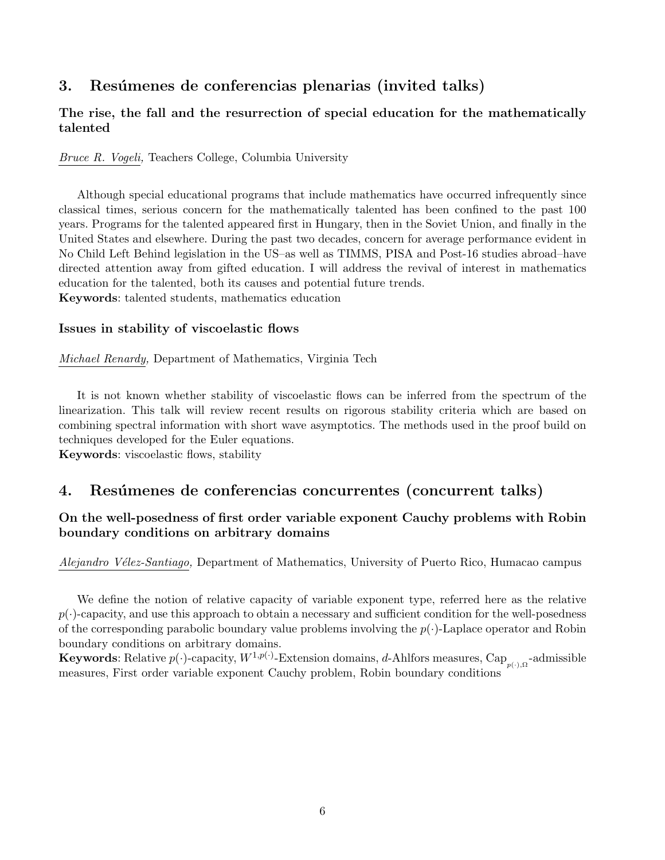### 3. Resúmenes de conferencias plenarias (invited talks)

### The rise, the fall and the resurrection of special education for the mathematically talented

Bruce R. Vogeli, Teachers College, Columbia University

Although special educational programs that include mathematics have occurred infrequently since classical times, serious concern for the mathematically talented has been confined to the past 100 years. Programs for the talented appeared first in Hungary, then in the Soviet Union, and finally in the United States and elsewhere. During the past two decades, concern for average performance evident in No Child Left Behind legislation in the US–as well as TIMMS, PISA and Post-16 studies abroad–have directed attention away from gifted education. I will address the revival of interest in mathematics education for the talented, both its causes and potential future trends. Keywords: talented students, mathematics education

### Issues in stability of viscoelastic flows

Michael Renardy, Department of Mathematics, Virginia Tech

It is not known whether stability of viscoelastic flows can be inferred from the spectrum of the linearization. This talk will review recent results on rigorous stability criteria which are based on combining spectral information with short wave asymptotics. The methods used in the proof build on techniques developed for the Euler equations.

Keywords: viscoelastic flows, stability

### 4. Resúmenes de conferencias concurrentes (concurrent talks)

### On the well-posedness of first order variable exponent Cauchy problems with Robin boundary conditions on arbitrary domains

Alejandro Vélez-Santiago, Department of Mathematics, University of Puerto Rico, Humacao campus

We define the notion of relative capacity of variable exponent type, referred here as the relative  $p(\cdot)$ -capacity, and use this approach to obtain a necessary and sufficient condition for the well-posedness of the corresponding parabolic boundary value problems involving the  $p(\cdot)$ -Laplace operator and Robin boundary conditions on arbitrary domains.

**Keywords:** Relative  $p(\cdot)$ -capacity,  $W^{1,p(\cdot)}$ -Extension domains, d-Ahlfors measures, Cap<sub>p(·),Ω</sub>-admissible measures, First order variable exponent Cauchy problem, Robin boundary conditions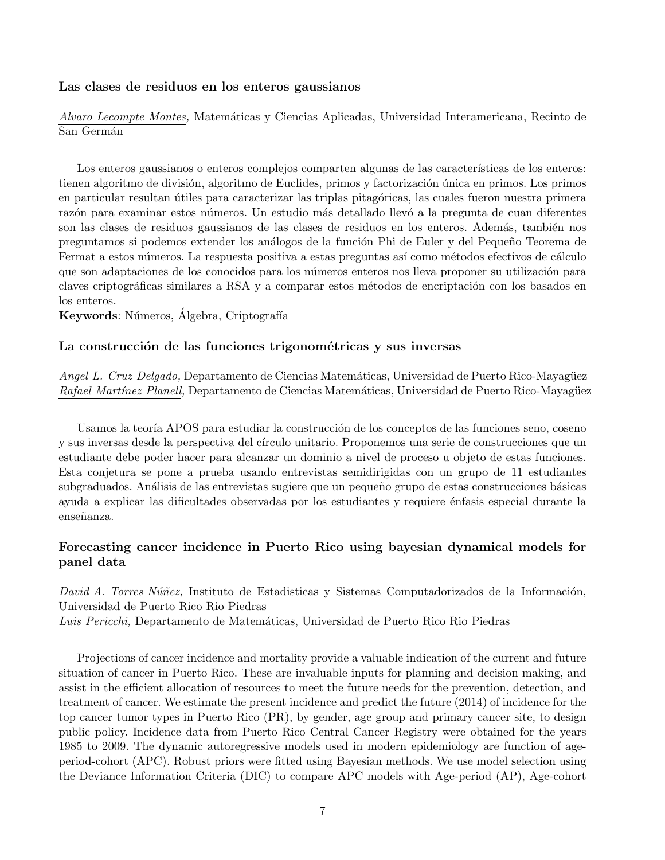### Las clases de residuos en los enteros gaussianos

Alvaro Lecompte Montes, Matemáticas y Ciencias Aplicadas, Universidad Interamericana, Recinto de San Germán

Los enteros gaussianos o enteros complejos comparten algunas de las características de los enteros: tienen algoritmo de división, algoritmo de Euclides, primos y factorización única en primos. Los primos en particular resultan útiles para caracterizar las triplas pitagóricas, las cuales fueron nuestra primera razón para examinar estos números. Un estudio más detallado llevó a la pregunta de cuan diferentes son las clases de residuos gaussianos de las clases de residuos en los enteros. Además, también nos preguntamos si podemos extender los análogos de la función Phi de Euler y del Pequeño Teorema de Fermat a estos números. La respuesta positiva a estas preguntas así como métodos efectivos de cálculo que son adaptaciones de los conocidos para los números enteros nos lleva proponer su utilización para claves criptográficas similares a RSA y a comparar estos métodos de encriptación con los basados en los enteros.

Keywords: Números, Álgebra, Criptografía

### La construcción de las funciones trigonométricas y sus inversas

Angel L. Cruz Delgado, Departamento de Ciencias Matemáticas, Universidad de Puerto Rico-Mayagüez Rafael Martínez Planell, Departamento de Ciencias Matemáticas, Universidad de Puerto Rico-Mayagüez

Usamos la teoría APOS para estudiar la construcción de los conceptos de las funciones seno, coseno y sus inversas desde la perspectiva del círculo unitario. Proponemos una serie de construcciones que un estudiante debe poder hacer para alcanzar un dominio a nivel de proceso u objeto de estas funciones. Esta conjetura se pone a prueba usando entrevistas semidirigidas con un grupo de 11 estudiantes subgraduados. Análisis de las entrevistas sugiere que un pequeño grupo de estas construcciones básicas ayuda a explicar las dificultades observadas por los estudiantes y requiere énfasis especial durante la enseñanza.

### Forecasting cancer incidence in Puerto Rico using bayesian dynamical models for panel data

David A. Torres Núñez, Instituto de Estadisticas y Sistemas Computadorizados de la Información, Universidad de Puerto Rico Rio Piedras Luis Pericchi, Departamento de Matemáticas, Universidad de Puerto Rico Rio Piedras

Projections of cancer incidence and mortality provide a valuable indication of the current and future situation of cancer in Puerto Rico. These are invaluable inputs for planning and decision making, and assist in the efficient allocation of resources to meet the future needs for the prevention, detection, and treatment of cancer. We estimate the present incidence and predict the future (2014) of incidence for the top cancer tumor types in Puerto Rico (PR), by gender, age group and primary cancer site, to design public policy. Incidence data from Puerto Rico Central Cancer Registry were obtained for the years 1985 to 2009. The dynamic autoregressive models used in modern epidemiology are function of ageperiod-cohort (APC). Robust priors were fitted using Bayesian methods. We use model selection using the Deviance Information Criteria (DIC) to compare APC models with Age-period (AP), Age-cohort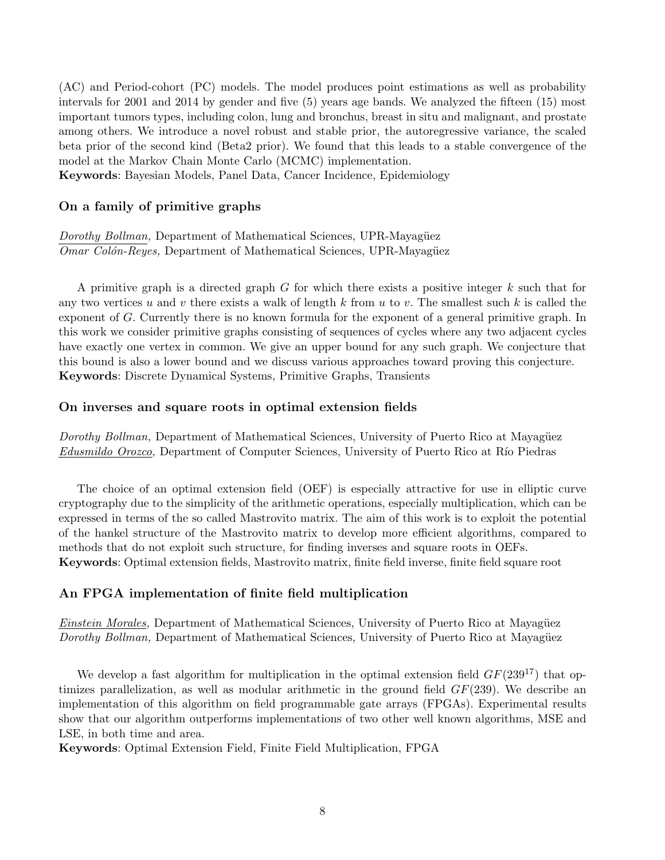(AC) and Period-cohort (PC) models. The model produces point estimations as well as probability intervals for 2001 and 2014 by gender and five (5) years age bands. We analyzed the fifteen (15) most important tumors types, including colon, lung and bronchus, breast in situ and malignant, and prostate among others. We introduce a novel robust and stable prior, the autoregressive variance, the scaled beta prior of the second kind (Beta2 prior). We found that this leads to a stable convergence of the model at the Markov Chain Monte Carlo (MCMC) implementation.

Keywords: Bayesian Models, Panel Data, Cancer Incidence, Epidemiology

### On a family of primitive graphs

Dorothy Bollman, Department of Mathematical Sciences, UPR-Mayagüez Omar Colón-Reyes, Department of Mathematical Sciences, UPR-Mayagüez

A primitive graph is a directed graph G for which there exists a positive integer k such that for any two vertices u and v there exists a walk of length k from u to v. The smallest such k is called the exponent of G. Currently there is no known formula for the exponent of a general primitive graph. In this work we consider primitive graphs consisting of sequences of cycles where any two adjacent cycles have exactly one vertex in common. We give an upper bound for any such graph. We conjecture that this bound is also a lower bound and we discuss various approaches toward proving this conjecture. Keywords: Discrete Dynamical Systems, Primitive Graphs, Transients

### On inverses and square roots in optimal extension fields

Dorothy Bollman, Department of Mathematical Sciences, University of Puerto Rico at Mayagüez Edusmildo Orozco, Department of Computer Sciences, University of Puerto Rico at Río Piedras

The choice of an optimal extension field (OEF) is especially attractive for use in elliptic curve cryptography due to the simplicity of the arithmetic operations, especially multiplication, which can be expressed in terms of the so called Mastrovito matrix. The aim of this work is to exploit the potential of the hankel structure of the Mastrovito matrix to develop more efficient algorithms, compared to methods that do not exploit such structure, for finding inverses and square roots in OEFs. Keywords: Optimal extension fields, Mastrovito matrix, finite field inverse, finite field square root

### An FPGA implementation of finite field multiplication

Einstein Morales, Department of Mathematical Sciences, University of Puerto Rico at Mayagüez Dorothy Bollman, Department of Mathematical Sciences, University of Puerto Rico at Mayagüez

We develop a fast algorithm for multiplication in the optimal extension field  $GF(239^{17})$  that optimizes parallelization, as well as modular arithmetic in the ground field  $GF(239)$ . We describe an implementation of this algorithm on field programmable gate arrays (FPGAs). Experimental results show that our algorithm outperforms implementations of two other well known algorithms, MSE and LSE, in both time and area.

Keywords: Optimal Extension Field, Finite Field Multiplication, FPGA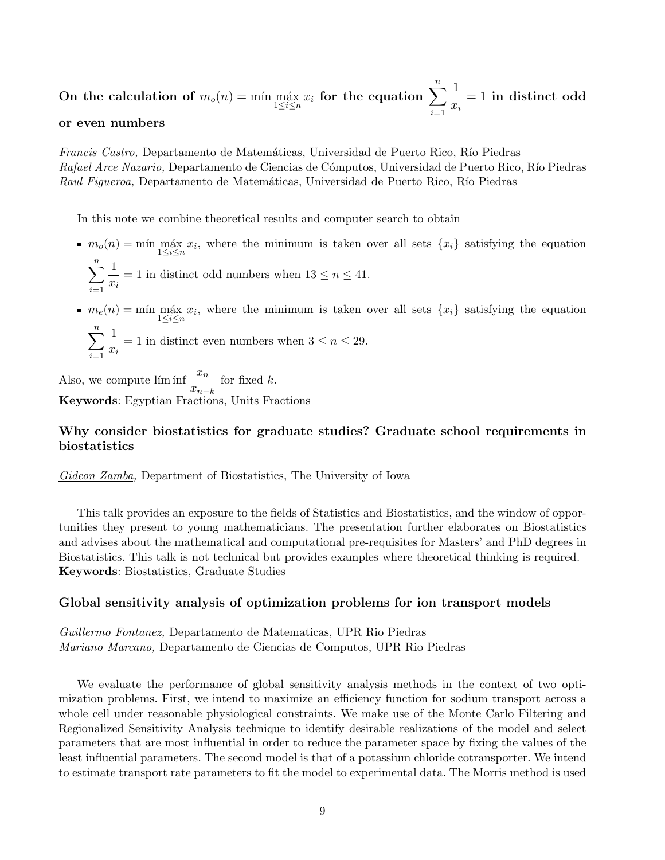On the calculation of  $m_o(n) = \min \max_{1 \leq i \leq n} x_i$  for the equation  $\sum_{i=1}^n$  $i=1$ 1  $x_i$  $= 1$  in distinct odd

### or even numbers

Francis Castro, Departamento de Matemáticas, Universidad de Puerto Rico, Río Piedras Rafael Arce Nazario, Departamento de Ciencias de Cómputos, Universidad de Puerto Rico, Río Piedras Raul Figueroa, Departamento de Matemáticas, Universidad de Puerto Rico, Río Piedras

In this note we combine theoretical results and computer search to obtain

- $m_o(n) = \min_{1 \leq i \leq n} \max_{i} x_i$ , where the minimum is taken over all sets  $\{x_i\}$  satisfying the equation  $\sum_{n=1}^{\infty}$ 1
	- $i=1$  $\frac{1}{x_i} = 1$  in distinct odd numbers when  $13 \leq n \leq 41$ .
- $m_e(n) = \min_{1 \leq i \leq n} \max_{i} x_i$ , where the minimum is taken over all sets  $\{x_i\}$  satisfying the equation

$$
\sum_{i=1}^{n} \frac{1}{x_i} = 1
$$
 in distinct even numbers when  $3 \le n \le 29$ .

Also, we compute lím inf  $\frac{x_n}{x_n}$  $\frac{m}{x_{n-k}}$  for fixed k. Keywords: Egyptian Fractions, Units Fractions

### Why consider biostatistics for graduate studies? Graduate school requirements in biostatistics

Gideon Zamba, Department of Biostatistics, The University of Iowa

This talk provides an exposure to the fields of Statistics and Biostatistics, and the window of opportunities they present to young mathematicians. The presentation further elaborates on Biostatistics and advises about the mathematical and computational pre-requisites for Masters' and PhD degrees in Biostatistics. This talk is not technical but provides examples where theoretical thinking is required. Keywords: Biostatistics, Graduate Studies

### Global sensitivity analysis of optimization problems for ion transport models

Guillermo Fontanez, Departamento de Matematicas, UPR Rio Piedras Mariano Marcano, Departamento de Ciencias de Computos, UPR Rio Piedras

We evaluate the performance of global sensitivity analysis methods in the context of two optimization problems. First, we intend to maximize an efficiency function for sodium transport across a whole cell under reasonable physiological constraints. We make use of the Monte Carlo Filtering and Regionalized Sensitivity Analysis technique to identify desirable realizations of the model and select parameters that are most influential in order to reduce the parameter space by fixing the values of the least influential parameters. The second model is that of a potassium chloride cotransporter. We intend to estimate transport rate parameters to fit the model to experimental data. The Morris method is used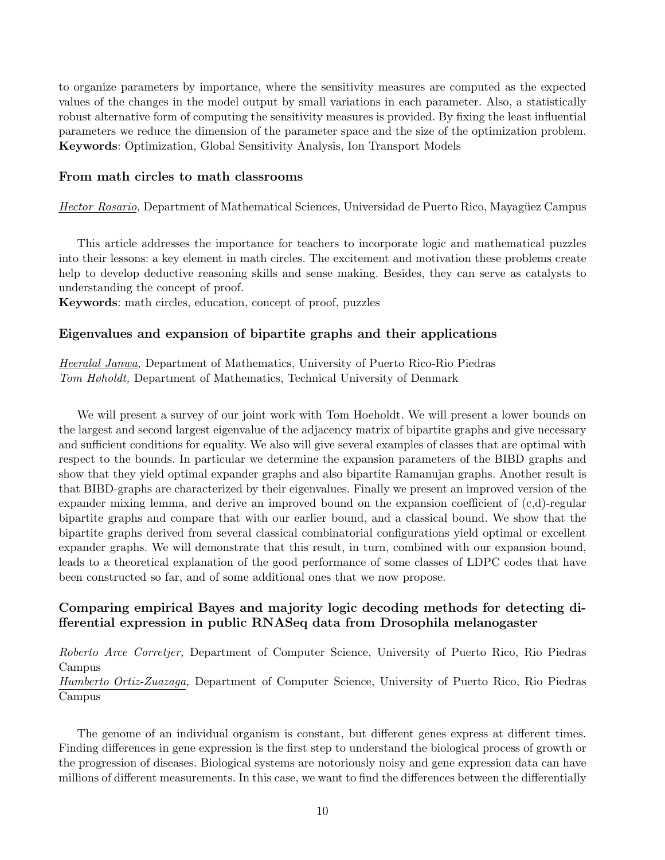to organize parameters by importance, where the sensitivity measures are computed as the expected values of the changes in the model output by small variations in each parameter. Also, a statistically robust alternative form of computing the sensitivity measures is provided. By fixing the least influential parameters we reduce the dimension of the parameter space and the size of the optimization problem. Keywords: Optimization, Global Sensitivity Analysis, Ion Transport Models

### From math circles to math classrooms

Hector Rosario, Department of Mathematical Sciences, Universidad de Puerto Rico, Mayagüez Campus

This article addresses the importance for teachers to incorporate logic and mathematical puzzles into their lessons: a key element in math circles. The excitement and motivation these problems create help to develop deductive reasoning skills and sense making. Besides, they can serve as catalysts to understanding the concept of proof.

Keywords: math circles, education, concept of proof, puzzles

### Eigenvalues and expansion of bipartite graphs and their applications

Heeralal Janwa, Department of Mathematics, University of Puerto Rico-Rio Piedras Tom Høholdt, Department of Mathematics, Technical University of Denmark

We will present a survey of our joint work with Tom Hoeholdt. We will present a lower bounds on the largest and second largest eigenvalue of the adjacency matrix of bipartite graphs and give necessary and sufficient conditions for equality. We also will give several examples of classes that are optimal with respect to the bounds. In particular we determine the expansion parameters of the BIBD graphs and show that they yield optimal expander graphs and also bipartite Ramanujan graphs. Another result is that BIBD-graphs are characterized by their eigenvalues. Finally we present an improved version of the expander mixing lemma, and derive an improved bound on the expansion coefficient of (c,d)-regular bipartite graphs and compare that with our earlier bound, and a classical bound. We show that the bipartite graphs derived from several classical combinatorial configurations yield optimal or excellent expander graphs. We will demonstrate that this result, in turn, combined with our expansion bound, leads to a theoretical explanation of the good performance of some classes of LDPC codes that have been constructed so far, and of some additional ones that we now propose.

### Comparing empirical Bayes and majority logic decoding methods for detecting differential expression in public RNASeq data from Drosophila melanogaster

Roberto Arce Corretjer, Department of Computer Science, University of Puerto Rico, Rio Piedras Campus

Humberto Ortiz-Zuazaga, Department of Computer Science, University of Puerto Rico, Rio Piedras Campus

The genome of an individual organism is constant, but different genes express at different times. Finding differences in gene expression is the first step to understand the biological process of growth or the progression of diseases. Biological systems are notoriously noisy and gene expression data can have millions of different measurements. In this case, we want to find the differences between the differentially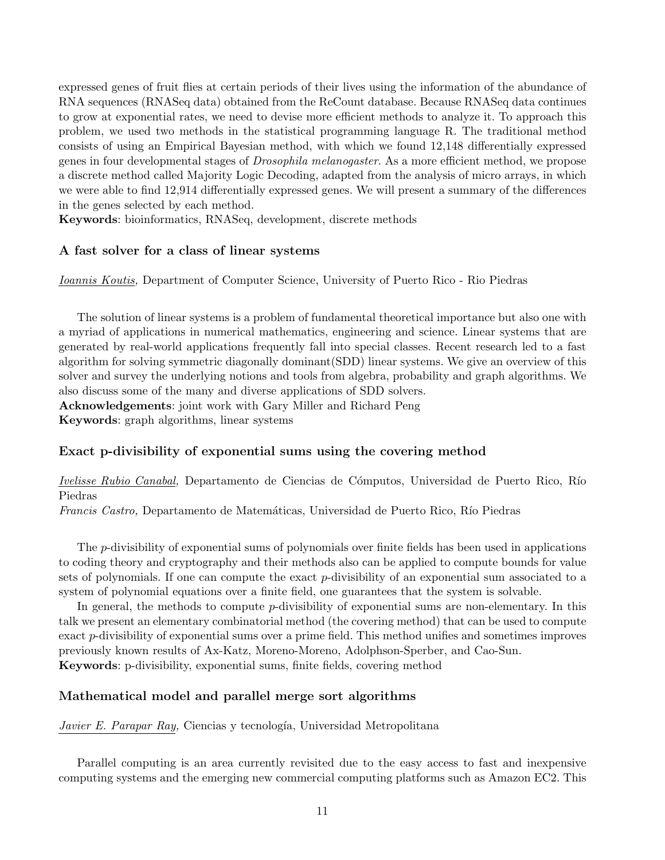expressed genes of fruit flies at certain periods of their lives using the information of the abundance of RNA sequences (RNASeq data) obtained from the ReCount database. Because RNASeq data continues to grow at exponential rates, we need to devise more efficient methods to analyze it. To approach this problem, we used two methods in the statistical programming language R. The traditional method consists of using an Empirical Bayesian method, with which we found 12,148 differentially expressed genes in four developmental stages of Drosophila melanogaster. As a more efficient method, we propose a discrete method called Majority Logic Decoding, adapted from the analysis of micro arrays, in which we were able to find 12,914 differentially expressed genes. We will present a summary of the differences in the genes selected by each method.

Keywords: bioinformatics, RNASeq, development, discrete methods

### A fast solver for a class of linear systems

Ioannis Koutis, Department of Computer Science, University of Puerto Rico - Rio Piedras

The solution of linear systems is a problem of fundamental theoretical importance but also one with a myriad of applications in numerical mathematics, engineering and science. Linear systems that are generated by real-world applications frequently fall into special classes. Recent research led to a fast algorithm for solving symmetric diagonally dominant(SDD) linear systems. We give an overview of this solver and survey the underlying notions and tools from algebra, probability and graph algorithms. We also discuss some of the many and diverse applications of SDD solvers. Acknowledgements: joint work with Gary Miller and Richard Peng Keywords: graph algorithms, linear systems

### Exact p-divisibility of exponential sums using the covering method

Ivelisse Rubio Canabal, Departamento de Ciencias de Cómputos, Universidad de Puerto Rico, Río Piedras

Francis Castro, Departamento de Matemáticas, Universidad de Puerto Rico, Río Piedras

The p-divisibility of exponential sums of polynomials over finite fields has been used in applications to coding theory and cryptography and their methods also can be applied to compute bounds for value sets of polynomials. If one can compute the exact p-divisibility of an exponential sum associated to a system of polynomial equations over a finite field, one guarantees that the system is solvable.

In general, the methods to compute  $p$ -divisibility of exponential sums are non-elementary. In this talk we present an elementary combinatorial method (the covering method) that can be used to compute exact p-divisibility of exponential sums over a prime field. This method unifies and sometimes improves previously known results of Ax-Katz, Moreno-Moreno, Adolphson-Sperber, and Cao-Sun. Keywords: p-divisibility, exponential sums, finite fields, covering method

### Mathematical model and parallel merge sort algorithms

Javier E. Parapar Ray, Ciencias y tecnología, Universidad Metropolitana

Parallel computing is an area currently revisited due to the easy access to fast and inexpensive computing systems and the emerging new commercial computing platforms such as Amazon EC2. This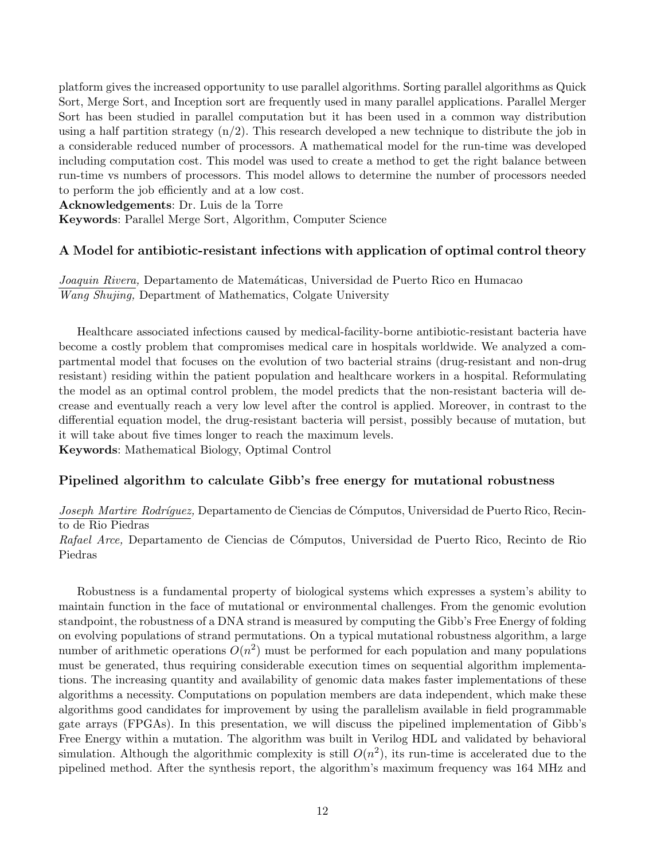platform gives the increased opportunity to use parallel algorithms. Sorting parallel algorithms as Quick Sort, Merge Sort, and Inception sort are frequently used in many parallel applications. Parallel Merger Sort has been studied in parallel computation but it has been used in a common way distribution using a half partition strategy  $(n/2)$ . This research developed a new technique to distribute the job in a considerable reduced number of processors. A mathematical model for the run-time was developed including computation cost. This model was used to create a method to get the right balance between run-time vs numbers of processors. This model allows to determine the number of processors needed to perform the job efficiently and at a low cost.

Acknowledgements: Dr. Luis de la Torre

Keywords: Parallel Merge Sort, Algorithm, Computer Science

### A Model for antibiotic-resistant infections with application of optimal control theory

Joaquin Rivera, Departamento de Matemáticas, Universidad de Puerto Rico en Humacao Wang Shujing, Department of Mathematics, Colgate University

Healthcare associated infections caused by medical-facility-borne antibiotic-resistant bacteria have become a costly problem that compromises medical care in hospitals worldwide. We analyzed a compartmental model that focuses on the evolution of two bacterial strains (drug-resistant and non-drug resistant) residing within the patient population and healthcare workers in a hospital. Reformulating the model as an optimal control problem, the model predicts that the non-resistant bacteria will decrease and eventually reach a very low level after the control is applied. Moreover, in contrast to the differential equation model, the drug-resistant bacteria will persist, possibly because of mutation, but it will take about five times longer to reach the maximum levels.

Keywords: Mathematical Biology, Optimal Control

### Pipelined algorithm to calculate Gibb's free energy for mutational robustness

Joseph Martire Rodríguez, Departamento de Ciencias de Cómputos, Universidad de Puerto Rico, Recinto de Rio Piedras

Rafael Arce, Departamento de Ciencias de Cómputos, Universidad de Puerto Rico, Recinto de Rio Piedras

Robustness is a fundamental property of biological systems which expresses a system's ability to maintain function in the face of mutational or environmental challenges. From the genomic evolution standpoint, the robustness of a DNA strand is measured by computing the Gibb's Free Energy of folding on evolving populations of strand permutations. On a typical mutational robustness algorithm, a large number of arithmetic operations  $O(n^2)$  must be performed for each population and many populations must be generated, thus requiring considerable execution times on sequential algorithm implementations. The increasing quantity and availability of genomic data makes faster implementations of these algorithms a necessity. Computations on population members are data independent, which make these algorithms good candidates for improvement by using the parallelism available in field programmable gate arrays (FPGAs). In this presentation, we will discuss the pipelined implementation of Gibb's Free Energy within a mutation. The algorithm was built in Verilog HDL and validated by behavioral simulation. Although the algorithmic complexity is still  $O(n^2)$ , its run-time is accelerated due to the pipelined method. After the synthesis report, the algorithm's maximum frequency was 164 MHz and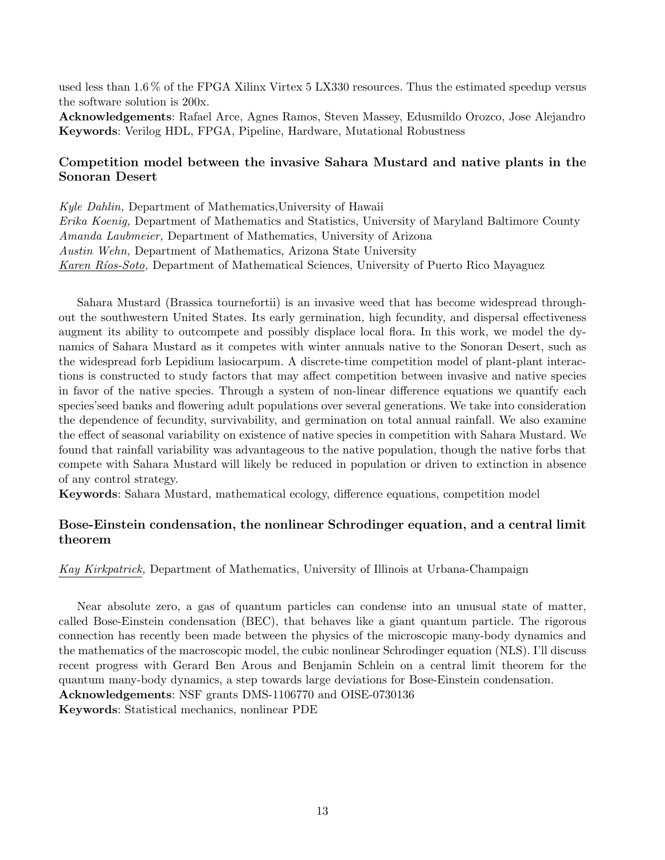used less than 1.6 % of the FPGA Xilinx Virtex 5 LX330 resources. Thus the estimated speedup versus the software solution is 200x.

Acknowledgements: Rafael Arce, Agnes Ramos, Steven Massey, Edusmildo Orozco, Jose Alejandro Keywords: Verilog HDL, FPGA, Pipeline, Hardware, Mutational Robustness

### Competition model between the invasive Sahara Mustard and native plants in the Sonoran Desert

Kyle Dahlin, Department of Mathematics,University of Hawaii Erika Koenig, Department of Mathematics and Statistics, University of Maryland Baltimore County Amanda Laubmeier, Department of Mathematics, University of Arizona Austin Wehn, Department of Mathematics, Arizona State University Karen Ríos-Soto, Department of Mathematical Sciences, University of Puerto Rico Mayaguez

Sahara Mustard (Brassica tournefortii) is an invasive weed that has become widespread throughout the southwestern United States. Its early germination, high fecundity, and dispersal effectiveness augment its ability to outcompete and possibly displace local flora. In this work, we model the dynamics of Sahara Mustard as it competes with winter annuals native to the Sonoran Desert, such as the widespread forb Lepidium lasiocarpum. A discrete-time competition model of plant-plant interactions is constructed to study factors that may affect competition between invasive and native species in favor of the native species. Through a system of non-linear difference equations we quantify each species'seed banks and flowering adult populations over several generations. We take into consideration the dependence of fecundity, survivability, and germination on total annual rainfall. We also examine the effect of seasonal variability on existence of native species in competition with Sahara Mustard. We found that rainfall variability was advantageous to the native population, though the native forbs that compete with Sahara Mustard will likely be reduced in population or driven to extinction in absence of any control strategy.

Keywords: Sahara Mustard, mathematical ecology, difference equations, competition model

### Bose-Einstein condensation, the nonlinear Schrodinger equation, and a central limit theorem

Kay Kirkpatrick, Department of Mathematics, University of Illinois at Urbana-Champaign

Near absolute zero, a gas of quantum particles can condense into an unusual state of matter, called Bose-Einstein condensation (BEC), that behaves like a giant quantum particle. The rigorous connection has recently been made between the physics of the microscopic many-body dynamics and the mathematics of the macroscopic model, the cubic nonlinear Schrodinger equation (NLS). I'll discuss recent progress with Gerard Ben Arous and Benjamin Schlein on a central limit theorem for the quantum many-body dynamics, a step towards large deviations for Bose-Einstein condensation. Acknowledgements: NSF grants DMS-1106770 and OISE-0730136 Keywords: Statistical mechanics, nonlinear PDE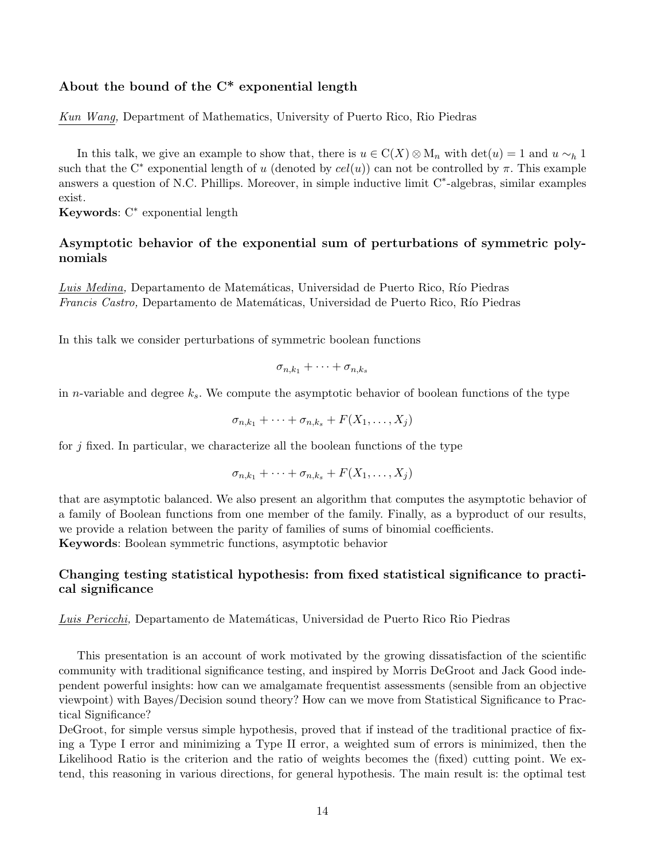### About the bound of the C\* exponential length

Kun Wang, Department of Mathematics, University of Puerto Rico, Rio Piedras

In this talk, we give an example to show that, there is  $u \in C(X) \otimes M_n$  with  $det(u) = 1$  and  $u \sim_h 1$ such that the C<sup>\*</sup> exponential length of u (denoted by  $cel(u)$ ) can not be controlled by  $\pi$ . This example answers a question of N.C. Phillips. Moreover, in simple inductive limit C<sup>∗</sup> -algebras, similar examples exist.

Keywords: C<sup>∗</sup> exponential length

### Asymptotic behavior of the exponential sum of perturbations of symmetric polynomials

Luis Medina, Departamento de Matemáticas, Universidad de Puerto Rico, Río Piedras Francis Castro, Departamento de Matemáticas, Universidad de Puerto Rico, Río Piedras

In this talk we consider perturbations of symmetric boolean functions

$$
\sigma_{n,k_1} + \cdots + \sigma_{n,k_s}
$$

in n-variable and degree  $k_s$ . We compute the asymptotic behavior of boolean functions of the type

$$
\sigma_{n,k_1} + \cdots + \sigma_{n,k_s} + F(X_1,\ldots,X_j)
$$

for  $j$  fixed. In particular, we characterize all the boolean functions of the type

$$
\sigma_{n,k_1} + \cdots + \sigma_{n,k_s} + F(X_1,\ldots,X_j)
$$

that are asymptotic balanced. We also present an algorithm that computes the asymptotic behavior of a family of Boolean functions from one member of the family. Finally, as a byproduct of our results, we provide a relation between the parity of families of sums of binomial coefficients. Keywords: Boolean symmetric functions, asymptotic behavior

### Changing testing statistical hypothesis: from fixed statistical significance to practical significance

Luis Pericchi, Departamento de Matemáticas, Universidad de Puerto Rico Rio Piedras

This presentation is an account of work motivated by the growing dissatisfaction of the scientific community with traditional significance testing, and inspired by Morris DeGroot and Jack Good independent powerful insights: how can we amalgamate frequentist assessments (sensible from an objective viewpoint) with Bayes/Decision sound theory? How can we move from Statistical Significance to Practical Significance?

DeGroot, for simple versus simple hypothesis, proved that if instead of the traditional practice of fixing a Type I error and minimizing a Type II error, a weighted sum of errors is minimized, then the Likelihood Ratio is the criterion and the ratio of weights becomes the (fixed) cutting point. We extend, this reasoning in various directions, for general hypothesis. The main result is: the optimal test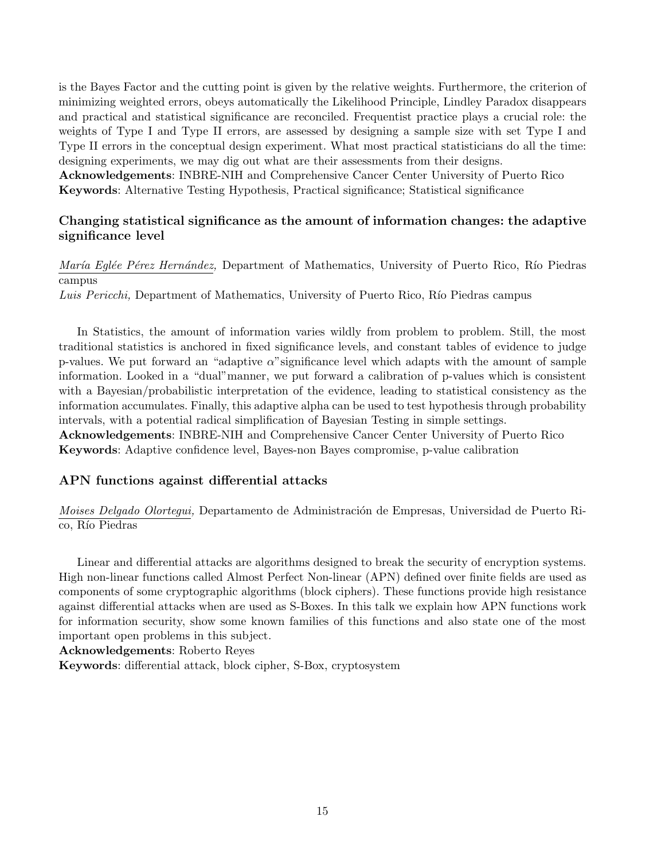is the Bayes Factor and the cutting point is given by the relative weights. Furthermore, the criterion of minimizing weighted errors, obeys automatically the Likelihood Principle, Lindley Paradox disappears and practical and statistical significance are reconciled. Frequentist practice plays a crucial role: the weights of Type I and Type II errors, are assessed by designing a sample size with set Type I and Type II errors in the conceptual design experiment. What most practical statisticians do all the time: designing experiments, we may dig out what are their assessments from their designs.

Acknowledgements: INBRE-NIH and Comprehensive Cancer Center University of Puerto Rico Keywords: Alternative Testing Hypothesis, Practical significance; Statistical significance

### Changing statistical significance as the amount of information changes: the adaptive significance level

María Eglée Pérez Hernández, Department of Mathematics, University of Puerto Rico, Río Piedras campus

Luis Pericchi, Department of Mathematics, University of Puerto Rico, Río Piedras campus

In Statistics, the amount of information varies wildly from problem to problem. Still, the most traditional statistics is anchored in fixed significance levels, and constant tables of evidence to judge p-values. We put forward an "adaptive  $\alpha$ " significance level which adapts with the amount of sample information. Looked in a "dual"manner, we put forward a calibration of p-values which is consistent with a Bayesian/probabilistic interpretation of the evidence, leading to statistical consistency as the information accumulates. Finally, this adaptive alpha can be used to test hypothesis through probability intervals, with a potential radical simplification of Bayesian Testing in simple settings. Acknowledgements: INBRE-NIH and Comprehensive Cancer Center University of Puerto Rico Keywords: Adaptive confidence level, Bayes-non Bayes compromise, p-value calibration

### APN functions against differential attacks

*Moises Delgado Olortegui,* Departamento de Administración de Empresas, Universidad de Puerto Rico, Río Piedras

Linear and differential attacks are algorithms designed to break the security of encryption systems. High non-linear functions called Almost Perfect Non-linear (APN) defined over finite fields are used as components of some cryptographic algorithms (block ciphers). These functions provide high resistance against differential attacks when are used as S-Boxes. In this talk we explain how APN functions work for information security, show some known families of this functions and also state one of the most important open problems in this subject.

Acknowledgements: Roberto Reyes

Keywords: differential attack, block cipher, S-Box, cryptosystem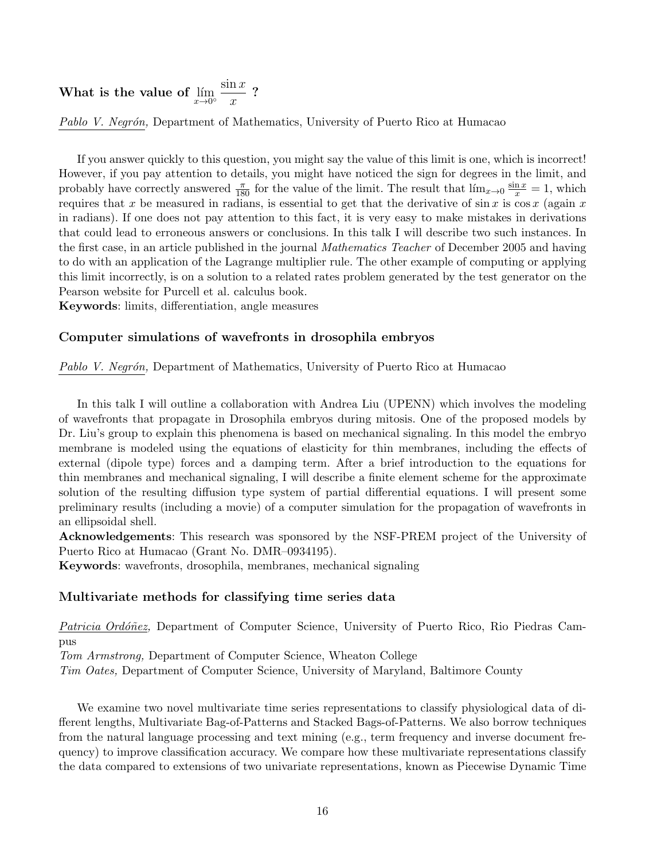### What is the value of  $\lim\limits_{x\to 0^{\circ}}$  $\sin x$  $\overline{x}$ ?

Pablo V. Negrón, Department of Mathematics, University of Puerto Rico at Humacao

If you answer quickly to this question, you might say the value of this limit is one, which is incorrect! However, if you pay attention to details, you might have noticed the sign for degrees in the limit, and probably have correctly answered  $\frac{\pi}{180}$  for the value of the limit. The result that  $\lim_{x\to 0} \frac{\sin x}{x} = 1$ , which requires that x be measured in radians, is essential to get that the derivative of  $\sin x$  is  $\cos x$  (again x in radians). If one does not pay attention to this fact, it is very easy to make mistakes in derivations that could lead to erroneous answers or conclusions. In this talk I will describe two such instances. In the first case, in an article published in the journal *Mathematics Teacher* of December 2005 and having to do with an application of the Lagrange multiplier rule. The other example of computing or applying this limit incorrectly, is on a solution to a related rates problem generated by the test generator on the Pearson website for Purcell et al. calculus book.

Keywords: limits, differentiation, angle measures

### Computer simulations of wavefronts in drosophila embryos

Pablo V. Negrón, Department of Mathematics, University of Puerto Rico at Humacao

In this talk I will outline a collaboration with Andrea Liu (UPENN) which involves the modeling of wavefronts that propagate in Drosophila embryos during mitosis. One of the proposed models by Dr. Liu's group to explain this phenomena is based on mechanical signaling. In this model the embryo membrane is modeled using the equations of elasticity for thin membranes, including the effects of external (dipole type) forces and a damping term. After a brief introduction to the equations for thin membranes and mechanical signaling, I will describe a finite element scheme for the approximate solution of the resulting diffusion type system of partial differential equations. I will present some preliminary results (including a movie) of a computer simulation for the propagation of wavefronts in an ellipsoidal shell.

Acknowledgements: This research was sponsored by the NSF-PREM project of the University of Puerto Rico at Humacao (Grant No. DMR–0934195).

Keywords: wavefronts, drosophila, membranes, mechanical signaling

### Multivariate methods for classifying time series data

Patricia Ordóñez, Department of Computer Science, University of Puerto Rico, Rio Piedras Campus

Tom Armstrong, Department of Computer Science, Wheaton College

Tim Oates, Department of Computer Science, University of Maryland, Baltimore County

We examine two novel multivariate time series representations to classify physiological data of different lengths, Multivariate Bag-of-Patterns and Stacked Bags-of-Patterns. We also borrow techniques from the natural language processing and text mining (e.g., term frequency and inverse document frequency) to improve classification accuracy. We compare how these multivariate representations classify the data compared to extensions of two univariate representations, known as Piecewise Dynamic Time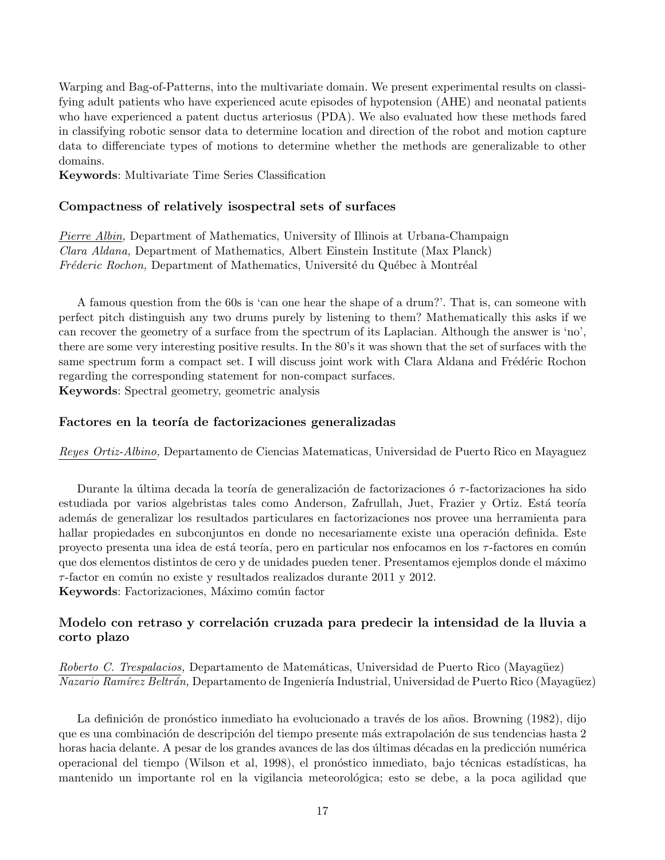Warping and Bag-of-Patterns, into the multivariate domain. We present experimental results on classifying adult patients who have experienced acute episodes of hypotension (AHE) and neonatal patients who have experienced a patent ductus arteriosus (PDA). We also evaluated how these methods fared in classifying robotic sensor data to determine location and direction of the robot and motion capture data to differenciate types of motions to determine whether the methods are generalizable to other domains.

Keywords: Multivariate Time Series Classification

### Compactness of relatively isospectral sets of surfaces

Pierre Albin, Department of Mathematics, University of Illinois at Urbana-Champaign Clara Aldana, Department of Mathematics, Albert Einstein Institute (Max Planck)  $Frefederic Rochon$ , Department of Mathematics, Université du Québec à Montréal

A famous question from the 60s is 'can one hear the shape of a drum?'. That is, can someone with perfect pitch distinguish any two drums purely by listening to them? Mathematically this asks if we can recover the geometry of a surface from the spectrum of its Laplacian. Although the answer is 'no', there are some very interesting positive results. In the 80's it was shown that the set of surfaces with the same spectrum form a compact set. I will discuss joint work with Clara Aldana and Frédéric Rochon regarding the corresponding statement for non-compact surfaces. Keywords: Spectral geometry, geometric analysis

### Factores en la teoría de factorizaciones generalizadas

Reyes Ortiz-Albino, Departamento de Ciencias Matematicas, Universidad de Puerto Rico en Mayaguez

Durante la última decada la teoría de generalización de factorizaciones ó  $\tau$ -factorizaciones ha sido estudiada por varios algebristas tales como Anderson, Zafrullah, Juet, Frazier y Ortiz. Está teoría adem´as de generalizar los resultados particulares en factorizaciones nos provee una herramienta para hallar propiedades en subconjuntos en donde no necesariamente existe una operación definida. Este proyecto presenta una idea de está teoría, pero en particular nos enfocamos en los τ-factores en común que dos elementos distintos de cero y de unidades pueden tener. Presentamos ejemplos donde el máximo  $\tau$ -factor en común no existe y resultados realizados durante 2011 y 2012. Keywords: Factorizaciones, Máximo común factor

### Modelo con retraso y correlación cruzada para predecir la intensidad de la lluvia a corto plazo

Roberto C. Trespalacios, Departamento de Matemáticas, Universidad de Puerto Rico (Mayagüez) Nazario Ramírez Beltrán, Departamento de Ingeniería Industrial, Universidad de Puerto Rico (Mayagüez)

La definición de pronóstico inmediato ha evolucionado a través de los años. Browning (1982), dijo que es una combinación de descripción del tiempo presente más extrapolación de sus tendencias hasta 2 horas hacia delante. A pesar de los grandes avances de las dos últimas décadas en la predicción numérica operacional del tiempo (Wilson et al, 1998), el pronóstico inmediato, bajo técnicas estadísticas, ha mantenido un importante rol en la vigilancia meteorológica; esto se debe, a la poca agilidad que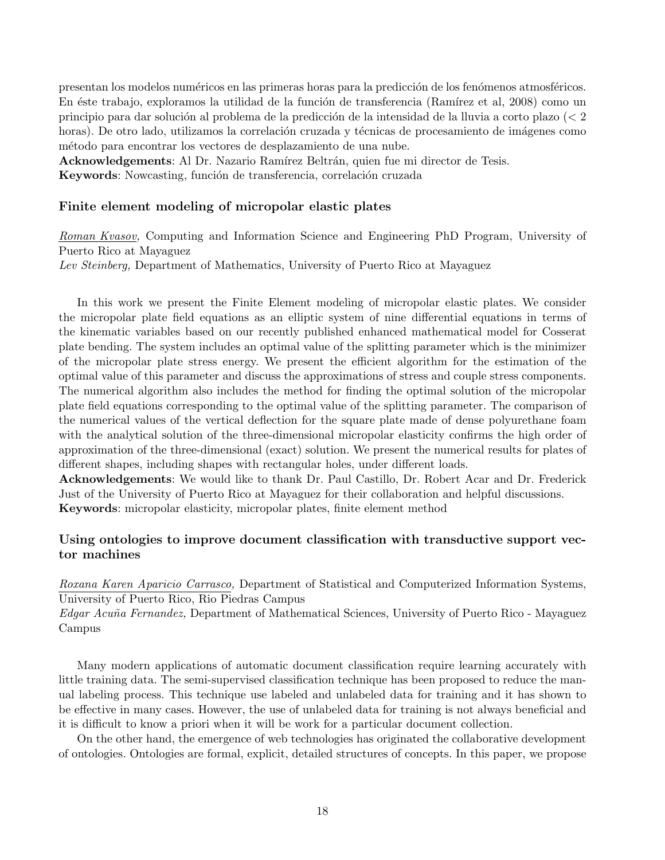presentan los modelos numéricos en las primeras horas para la predicción de los fenómenos atmosféricos. En éste trabajo, exploramos la utilidad de la función de transferencia (Ramírez et al, 2008) como un principio para dar solución al problema de la predicción de la intensidad de la lluvia a corto plazo ( $\lt 2$ horas). De otro lado, utilizamos la correlación cruzada y técnicas de procesamiento de imágenes como m´etodo para encontrar los vectores de desplazamiento de una nube.

Acknowledgements: Al Dr. Nazario Ramírez Beltrán, quien fue mi director de Tesis.

Keywords: Nowcasting, función de transferencia, correlación cruzada

### Finite element modeling of micropolar elastic plates

Roman Kvasov, Computing and Information Science and Engineering PhD Program, University of Puerto Rico at Mayaguez Lev Steinberg, Department of Mathematics, University of Puerto Rico at Mayaguez

In this work we present the Finite Element modeling of micropolar elastic plates. We consider the micropolar plate field equations as an elliptic system of nine differential equations in terms of the kinematic variables based on our recently published enhanced mathematical model for Cosserat plate bending. The system includes an optimal value of the splitting parameter which is the minimizer of the micropolar plate stress energy. We present the efficient algorithm for the estimation of the optimal value of this parameter and discuss the approximations of stress and couple stress components. The numerical algorithm also includes the method for finding the optimal solution of the micropolar plate field equations corresponding to the optimal value of the splitting parameter. The comparison of the numerical values of the vertical deflection for the square plate made of dense polyurethane foam with the analytical solution of the three-dimensional micropolar elasticity confirms the high order of approximation of the three-dimensional (exact) solution. We present the numerical results for plates of different shapes, including shapes with rectangular holes, under different loads.

Acknowledgements: We would like to thank Dr. Paul Castillo, Dr. Robert Acar and Dr. Frederick Just of the University of Puerto Rico at Mayaguez for their collaboration and helpful discussions. Keywords: micropolar elasticity, micropolar plates, finite element method

### Using ontologies to improve document classification with transductive support vector machines

Roxana Karen Aparicio Carrasco, Department of Statistical and Computerized Information Systems, University of Puerto Rico, Rio Piedras Campus

Edgar Acuña Fernandez, Department of Mathematical Sciences, University of Puerto Rico - Mayaguez Campus

Many modern applications of automatic document classification require learning accurately with little training data. The semi-supervised classification technique has been proposed to reduce the manual labeling process. This technique use labeled and unlabeled data for training and it has shown to be effective in many cases. However, the use of unlabeled data for training is not always beneficial and it is difficult to know a priori when it will be work for a particular document collection.

On the other hand, the emergence of web technologies has originated the collaborative development of ontologies. Ontologies are formal, explicit, detailed structures of concepts. In this paper, we propose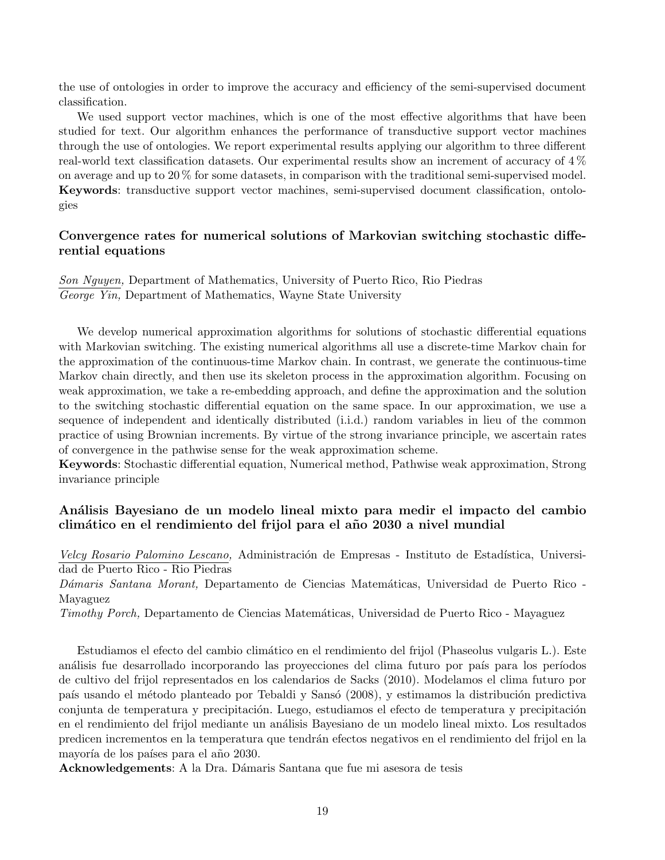the use of ontologies in order to improve the accuracy and efficiency of the semi-supervised document classification.

We used support vector machines, which is one of the most effective algorithms that have been studied for text. Our algorithm enhances the performance of transductive support vector machines through the use of ontologies. We report experimental results applying our algorithm to three different real-world text classification datasets. Our experimental results show an increment of accuracy of 4 % on average and up to 20 % for some datasets, in comparison with the traditional semi-supervised model. Keywords: transductive support vector machines, semi-supervised document classification, ontologies

### Convergence rates for numerical solutions of Markovian switching stochastic differential equations

Son Nguyen, Department of Mathematics, University of Puerto Rico, Rio Piedras George Yin, Department of Mathematics, Wayne State University

We develop numerical approximation algorithms for solutions of stochastic differential equations with Markovian switching. The existing numerical algorithms all use a discrete-time Markov chain for the approximation of the continuous-time Markov chain. In contrast, we generate the continuous-time Markov chain directly, and then use its skeleton process in the approximation algorithm. Focusing on weak approximation, we take a re-embedding approach, and define the approximation and the solution to the switching stochastic differential equation on the same space. In our approximation, we use a sequence of independent and identically distributed (i.i.d.) random variables in lieu of the common practice of using Brownian increments. By virtue of the strong invariance principle, we ascertain rates of convergence in the pathwise sense for the weak approximation scheme.

Keywords: Stochastic differential equation, Numerical method, Pathwise weak approximation, Strong invariance principle

### An´alisis Bayesiano de un modelo lineal mixto para medir el impacto del cambio clim´atico en el rendimiento del frijol para el a˜no 2030 a nivel mundial

Velcy Rosario Palomino Lescano, Administración de Empresas - Instituto de Estadística, Universidad de Puerto Rico - Rio Piedras

Dámaris Santana Morant, Departamento de Ciencias Matemáticas, Universidad de Puerto Rico -Mayaguez

Timothy Porch, Departamento de Ciencias Matemáticas, Universidad de Puerto Rico - Mayaguez

Estudiamos el efecto del cambio climático en el rendimiento del frijol (Phaseolus vulgaris L.). Este análisis fue desarrollado incorporando las proyecciones del clima futuro por país para los períodos de cultivo del frijol representados en los calendarios de Sacks (2010). Modelamos el clima futuro por país usando el método planteado por Tebaldi y Sansó (2008), y estimamos la distribución predictiva conjunta de temperatura y precipitación. Luego, estudiamos el efecto de temperatura y precipitación en el rendimiento del frijol mediante un an´alisis Bayesiano de un modelo lineal mixto. Los resultados predicen incrementos en la temperatura que tendr´an efectos negativos en el rendimiento del frijol en la mayoría de los países para el año 2030.

Acknowledgements: A la Dra. Dámaris Santana que fue mi asesora de tesis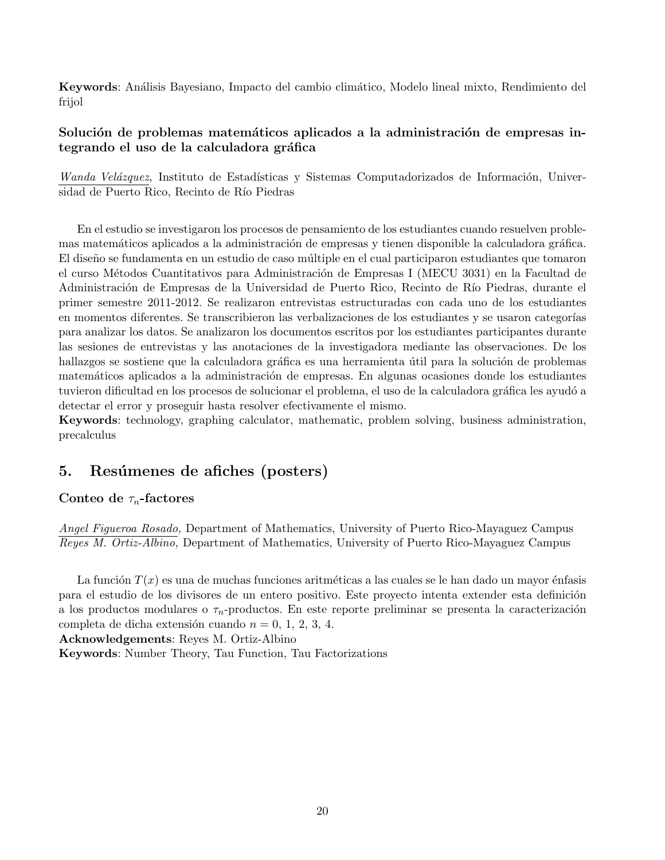Keywords: An´alisis Bayesiano, Impacto del cambio clim´atico, Modelo lineal mixto, Rendimiento del frijol

### Solución de problemas matemáticos aplicados a la administración de empresas integrando el uso de la calculadora gráfica

Wanda Velázquez, Instituto de Estadísticas y Sistemas Computadorizados de Información, Universidad de Puerto Rico, Recinto de Río Piedras

En el estudio se investigaron los procesos de pensamiento de los estudiantes cuando resuelven problemas matemáticos aplicados a la administración de empresas y tienen disponible la calculadora gráfica. El diseño se fundamenta en un estudio de caso múltiple en el cual participaron estudiantes que tomaron el curso Métodos Cuantitativos para Administración de Empresas I (MECU 3031) en la Facultad de Administración de Empresas de la Universidad de Puerto Rico, Recinto de Río Piedras, durante el primer semestre 2011-2012. Se realizaron entrevistas estructuradas con cada uno de los estudiantes en momentos diferentes. Se transcribieron las verbalizaciones de los estudiantes y se usaron categorías para analizar los datos. Se analizaron los documentos escritos por los estudiantes participantes durante las sesiones de entrevistas y las anotaciones de la investigadora mediante las observaciones. De los hallazgos se sostiene que la calculadora gráfica es una herramienta útil para la solución de problemas matemáticos aplicados a la administración de empresas. En algunas ocasiones donde los estudiantes tuvieron dificultad en los procesos de solucionar el problema, el uso de la calculadora gráfica les ayudó a detectar el error y proseguir hasta resolver efectivamente el mismo.

Keywords: technology, graphing calculator, mathematic, problem solving, business administration, precalculus

## 5. Resúmenes de afiches (posters)

### Conteo de  $\tau_n$ -factores

Angel Figueroa Rosado, Department of Mathematics, University of Puerto Rico-Mayaguez Campus Reyes M. Ortiz-Albino, Department of Mathematics, University of Puerto Rico-Mayaguez Campus

La función  $T(x)$  es una de muchas funciones aritméticas a las cuales se le han dado un mayor énfasis para el estudio de los divisores de un entero positivo. Este proyecto intenta extender esta definición a los productos modulares o  $\tau_n$ -productos. En este reporte preliminar se presenta la caracterización completa de dicha extensión cuando  $n = 0, 1, 2, 3, 4$ .

Acknowledgements: Reyes M. Ortiz-Albino

Keywords: Number Theory, Tau Function, Tau Factorizations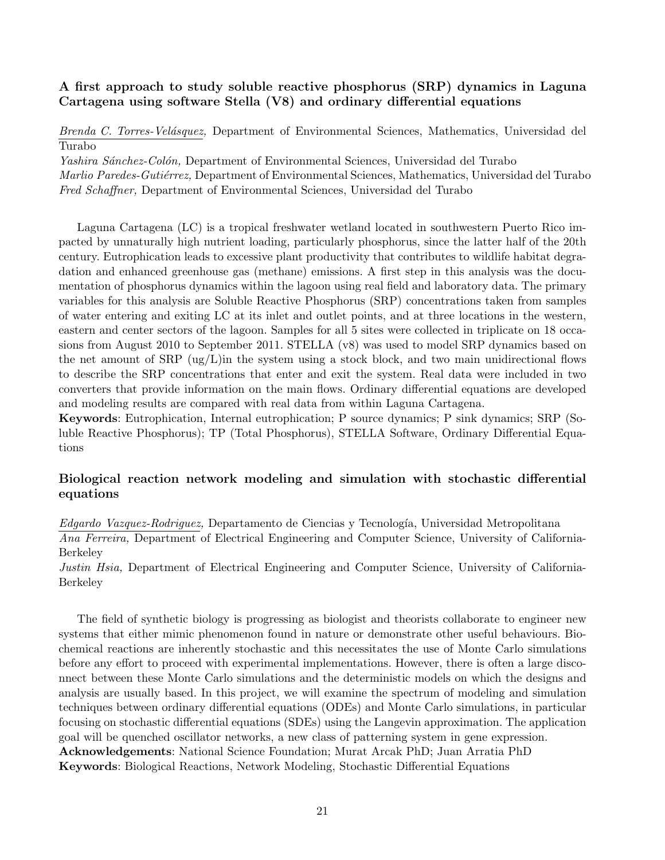### A first approach to study soluble reactive phosphorus (SRP) dynamics in Laguna Cartagena using software Stella (V8) and ordinary differential equations

Brenda C. Torres-Velásquez, Department of Environmental Sciences, Mathematics, Universidad del Turabo

Yashira Sánchez-Colón, Department of Environmental Sciences, Universidad del Turabo

Marlio Paredes-Gutiérrez, Department of Environmental Sciences, Mathematics, Universidad del Turabo Fred Schaffner, Department of Environmental Sciences, Universidad del Turabo

Laguna Cartagena (LC) is a tropical freshwater wetland located in southwestern Puerto Rico impacted by unnaturally high nutrient loading, particularly phosphorus, since the latter half of the 20th century. Eutrophication leads to excessive plant productivity that contributes to wildlife habitat degradation and enhanced greenhouse gas (methane) emissions. A first step in this analysis was the documentation of phosphorus dynamics within the lagoon using real field and laboratory data. The primary variables for this analysis are Soluble Reactive Phosphorus (SRP) concentrations taken from samples of water entering and exiting LC at its inlet and outlet points, and at three locations in the western, eastern and center sectors of the lagoon. Samples for all 5 sites were collected in triplicate on 18 occasions from August 2010 to September 2011. STELLA (v8) was used to model SRP dynamics based on the net amount of  $SRP$  (ug/L)in the system using a stock block, and two main unidirectional flows to describe the SRP concentrations that enter and exit the system. Real data were included in two converters that provide information on the main flows. Ordinary differential equations are developed and modeling results are compared with real data from within Laguna Cartagena.

Keywords: Eutrophication, Internal eutrophication; P source dynamics; P sink dynamics; SRP (Soluble Reactive Phosphorus); TP (Total Phosphorus), STELLA Software, Ordinary Differential Equations

### Biological reaction network modeling and simulation with stochastic differential equations

Edgardo Vazquez-Rodriguez, Departamento de Ciencias y Tecnología, Universidad Metropolitana

Ana Ferreira, Department of Electrical Engineering and Computer Science, University of California-Berkeley

Justin Hsia, Department of Electrical Engineering and Computer Science, University of California-Berkeley

The field of synthetic biology is progressing as biologist and theorists collaborate to engineer new systems that either mimic phenomenon found in nature or demonstrate other useful behaviours. Biochemical reactions are inherently stochastic and this necessitates the use of Monte Carlo simulations before any effort to proceed with experimental implementations. However, there is often a large disconnect between these Monte Carlo simulations and the deterministic models on which the designs and analysis are usually based. In this project, we will examine the spectrum of modeling and simulation techniques between ordinary differential equations (ODEs) and Monte Carlo simulations, in particular focusing on stochastic differential equations (SDEs) using the Langevin approximation. The application goal will be quenched oscillator networks, a new class of patterning system in gene expression. Acknowledgements: National Science Foundation; Murat Arcak PhD; Juan Arratia PhD Keywords: Biological Reactions, Network Modeling, Stochastic Differential Equations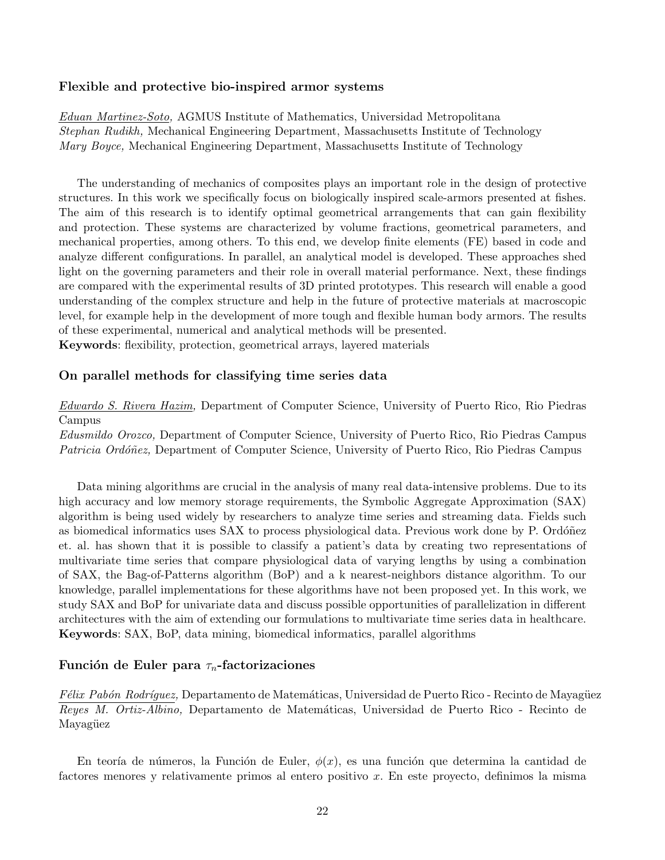### Flexible and protective bio-inspired armor systems

Eduan Martinez-Soto, AGMUS Institute of Mathematics, Universidad Metropolitana Stephan Rudikh, Mechanical Engineering Department, Massachusetts Institute of Technology Mary Boyce, Mechanical Engineering Department, Massachusetts Institute of Technology

The understanding of mechanics of composites plays an important role in the design of protective structures. In this work we specifically focus on biologically inspired scale-armors presented at fishes. The aim of this research is to identify optimal geometrical arrangements that can gain flexibility and protection. These systems are characterized by volume fractions, geometrical parameters, and mechanical properties, among others. To this end, we develop finite elements (FE) based in code and analyze different configurations. In parallel, an analytical model is developed. These approaches shed light on the governing parameters and their role in overall material performance. Next, these findings are compared with the experimental results of 3D printed prototypes. This research will enable a good understanding of the complex structure and help in the future of protective materials at macroscopic level, for example help in the development of more tough and flexible human body armors. The results of these experimental, numerical and analytical methods will be presented.

Keywords: flexibility, protection, geometrical arrays, layered materials

### On parallel methods for classifying time series data

Edwardo S. Rivera Hazim, Department of Computer Science, University of Puerto Rico, Rio Piedras Campus

Edusmildo Orozco, Department of Computer Science, University of Puerto Rico, Rio Piedras Campus Patricia Ordóñez, Department of Computer Science, University of Puerto Rico, Rio Piedras Campus

Data mining algorithms are crucial in the analysis of many real data-intensive problems. Due to its high accuracy and low memory storage requirements, the Symbolic Aggregate Approximation (SAX) algorithm is being used widely by researchers to analyze time series and streaming data. Fields such as biomedical informatics uses SAX to process physiological data. Previous work done by P. Ordóñez et. al. has shown that it is possible to classify a patient's data by creating two representations of multivariate time series that compare physiological data of varying lengths by using a combination of SAX, the Bag-of-Patterns algorithm (BoP) and a k nearest-neighbors distance algorithm. To our knowledge, parallel implementations for these algorithms have not been proposed yet. In this work, we study SAX and BoP for univariate data and discuss possible opportunities of parallelization in different architectures with the aim of extending our formulations to multivariate time series data in healthcare. Keywords: SAX, BoP, data mining, biomedical informatics, parallel algorithms

### Función de Euler para  $\tau_n$ -factorizaciones

F'élix Pabón Rodríquez, Departamento de Matemáticas, Universidad de Puerto Rico - Recinto de Mayagüez Reyes M. Ortiz-Albino, Departamento de Matemáticas, Universidad de Puerto Rico - Recinto de Mayagüez

En teoría de números, la Función de Euler,  $\phi(x)$ , es una función que determina la cantidad de factores menores y relativamente primos al entero positivo x. En este proyecto, definimos la misma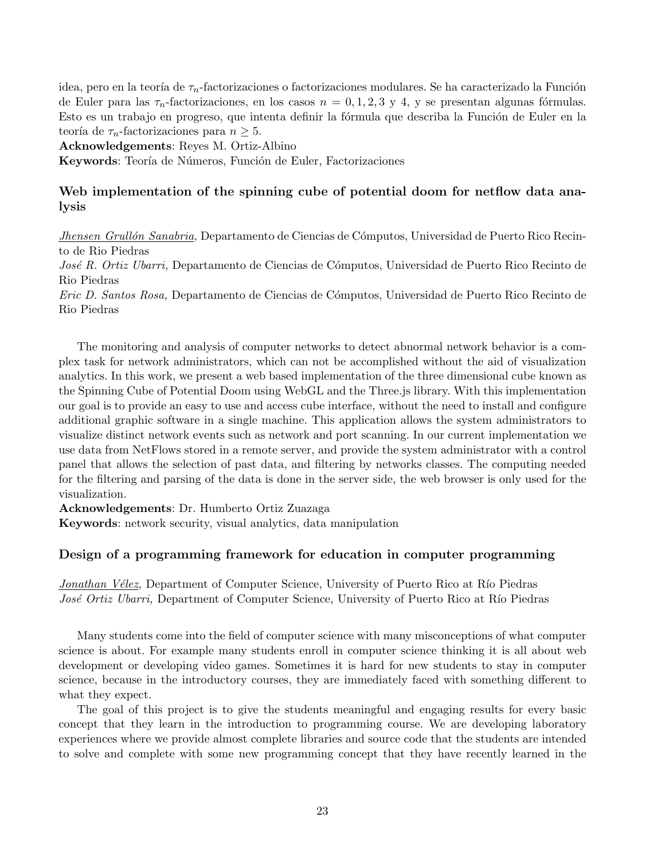idea, pero en la teoría de  $\tau_n$ -factorizaciones o factorizaciones modulares. Se ha caracterizado la Función de Euler para las  $\tau_n$ -factorizaciones, en los casos  $n = 0, 1, 2, 3, y, 4$ , y se presentan algunas fórmulas. Esto es un trabajo en progreso, que intenta definir la fórmula que describa la Función de Euler en la teoría de  $\tau_n$ -factorizaciones para  $n \geq 5$ .

Acknowledgements: Reyes M. Ortiz-Albino

Keywords: Teoría de Números, Función de Euler, Factorizaciones

### Web implementation of the spinning cube of potential doom for netflow data analysis

*Jhensen Grullón Sanabria*, Departamento de Ciencias de Cómputos, Universidad de Puerto Rico Recinto de Rio Piedras

José R. Ortiz Ubarri, Departamento de Ciencias de Cómputos, Universidad de Puerto Rico Recinto de Rio Piedras

Eric D. Santos Rosa, Departamento de Ciencias de C´omputos, Universidad de Puerto Rico Recinto de Rio Piedras

The monitoring and analysis of computer networks to detect abnormal network behavior is a complex task for network administrators, which can not be accomplished without the aid of visualization analytics. In this work, we present a web based implementation of the three dimensional cube known as the Spinning Cube of Potential Doom using WebGL and the Three.js library. With this implementation our goal is to provide an easy to use and access cube interface, without the need to install and configure additional graphic software in a single machine. This application allows the system administrators to visualize distinct network events such as network and port scanning. In our current implementation we use data from NetFlows stored in a remote server, and provide the system administrator with a control panel that allows the selection of past data, and filtering by networks classes. The computing needed for the filtering and parsing of the data is done in the server side, the web browser is only used for the visualization.

Acknowledgements: Dr. Humberto Ortiz Zuazaga

Keywords: network security, visual analytics, data manipulation

### Design of a programming framework for education in computer programming

Jonathan Vélez, Department of Computer Science, University of Puerto Rico at Río Piedras José Ortiz Ubarri, Department of Computer Science, University of Puerto Rico at Río Piedras

Many students come into the field of computer science with many misconceptions of what computer science is about. For example many students enroll in computer science thinking it is all about web development or developing video games. Sometimes it is hard for new students to stay in computer science, because in the introductory courses, they are immediately faced with something different to what they expect.

The goal of this project is to give the students meaningful and engaging results for every basic concept that they learn in the introduction to programming course. We are developing laboratory experiences where we provide almost complete libraries and source code that the students are intended to solve and complete with some new programming concept that they have recently learned in the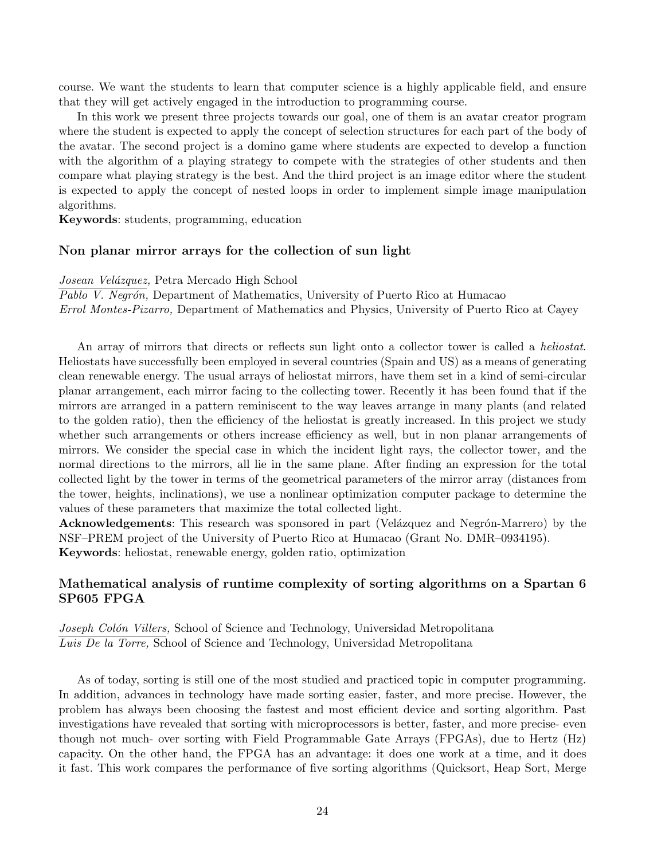course. We want the students to learn that computer science is a highly applicable field, and ensure that they will get actively engaged in the introduction to programming course.

In this work we present three projects towards our goal, one of them is an avatar creator program where the student is expected to apply the concept of selection structures for each part of the body of the avatar. The second project is a domino game where students are expected to develop a function with the algorithm of a playing strategy to compete with the strategies of other students and then compare what playing strategy is the best. And the third project is an image editor where the student is expected to apply the concept of nested loops in order to implement simple image manipulation algorithms.

Keywords: students, programming, education

### Non planar mirror arrays for the collection of sun light

Josean Velázquez, Petra Mercado High School

Pablo V. Negrón, Department of Mathematics, University of Puerto Rico at Humacao Errol Montes-Pizarro, Department of Mathematics and Physics, University of Puerto Rico at Cayey

An array of mirrors that directs or reflects sun light onto a collector tower is called a *heliostat*. Heliostats have successfully been employed in several countries (Spain and US) as a means of generating clean renewable energy. The usual arrays of heliostat mirrors, have them set in a kind of semi-circular planar arrangement, each mirror facing to the collecting tower. Recently it has been found that if the mirrors are arranged in a pattern reminiscent to the way leaves arrange in many plants (and related to the golden ratio), then the efficiency of the heliostat is greatly increased. In this project we study whether such arrangements or others increase efficiency as well, but in non planar arrangements of mirrors. We consider the special case in which the incident light rays, the collector tower, and the normal directions to the mirrors, all lie in the same plane. After finding an expression for the total collected light by the tower in terms of the geometrical parameters of the mirror array (distances from the tower, heights, inclinations), we use a nonlinear optimization computer package to determine the values of these parameters that maximize the total collected light.

Acknowledgements: This research was sponsored in part (Velázquez and Negrón-Marrero) by the NSF–PREM project of the University of Puerto Rico at Humacao (Grant No. DMR–0934195). Keywords: heliostat, renewable energy, golden ratio, optimization

### Mathematical analysis of runtime complexity of sorting algorithms on a Spartan 6 SP605 FPGA

Joseph Colón Villers, School of Science and Technology, Universidad Metropolitana Luis De la Torre, School of Science and Technology, Universidad Metropolitana

As of today, sorting is still one of the most studied and practiced topic in computer programming. In addition, advances in technology have made sorting easier, faster, and more precise. However, the problem has always been choosing the fastest and most efficient device and sorting algorithm. Past investigations have revealed that sorting with microprocessors is better, faster, and more precise- even though not much- over sorting with Field Programmable Gate Arrays (FPGAs), due to Hertz (Hz) capacity. On the other hand, the FPGA has an advantage: it does one work at a time, and it does it fast. This work compares the performance of five sorting algorithms (Quicksort, Heap Sort, Merge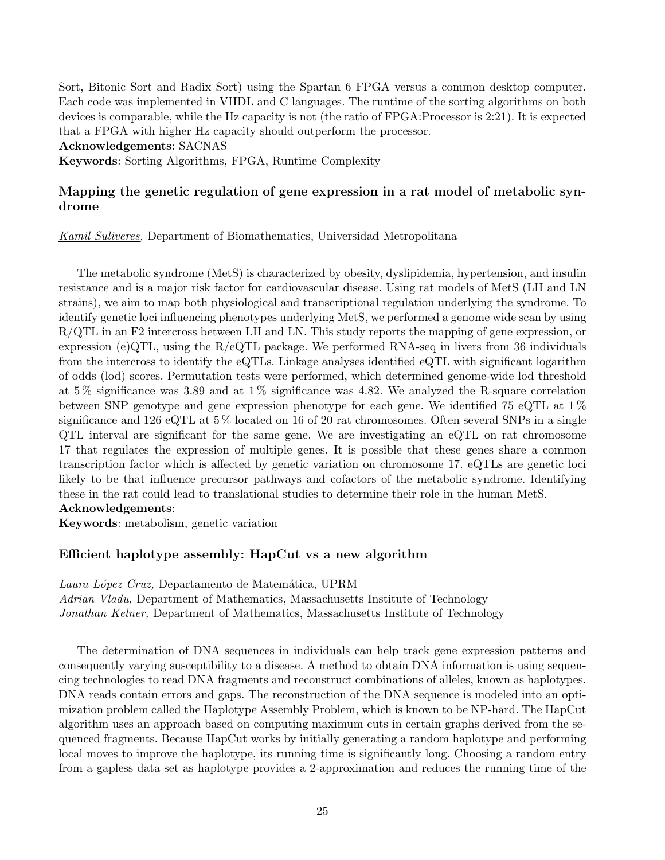Sort, Bitonic Sort and Radix Sort) using the Spartan 6 FPGA versus a common desktop computer. Each code was implemented in VHDL and C languages. The runtime of the sorting algorithms on both devices is comparable, while the Hz capacity is not (the ratio of FPGA:Processor is 2:21). It is expected that a FPGA with higher Hz capacity should outperform the processor.

Acknowledgements: SACNAS

Keywords: Sorting Algorithms, FPGA, Runtime Complexity

### Mapping the genetic regulation of gene expression in a rat model of metabolic syndrome

Kamil Suliveres, Department of Biomathematics, Universidad Metropolitana

The metabolic syndrome (MetS) is characterized by obesity, dyslipidemia, hypertension, and insulin resistance and is a major risk factor for cardiovascular disease. Using rat models of MetS (LH and LN strains), we aim to map both physiological and transcriptional regulation underlying the syndrome. To identify genetic loci influencing phenotypes underlying MetS, we performed a genome wide scan by using R/QTL in an F2 intercross between LH and LN. This study reports the mapping of gene expression, or expression (e)QTL, using the  $R/eQTL$  package. We performed RNA-seq in livers from 36 individuals from the intercross to identify the eQTLs. Linkage analyses identified eQTL with significant logarithm of odds (lod) scores. Permutation tests were performed, which determined genome-wide lod threshold at  $5\%$  significance was 3.89 and at  $1\%$  significance was 4.82. We analyzed the R-square correlation between SNP genotype and gene expression phenotype for each gene. We identified 75 eQTL at 1 % significance and 126 eQTL at 5 % located on 16 of 20 rat chromosomes. Often several SNPs in a single QTL interval are significant for the same gene. We are investigating an eQTL on rat chromosome 17 that regulates the expression of multiple genes. It is possible that these genes share a common transcription factor which is affected by genetic variation on chromosome 17. eQTLs are genetic loci likely to be that influence precursor pathways and cofactors of the metabolic syndrome. Identifying these in the rat could lead to translational studies to determine their role in the human MetS.

### Acknowledgements:

Keywords: metabolism, genetic variation

### Efficient haplotype assembly: HapCut vs a new algorithm

Laura López Cruz, Departamento de Matemática, UPRM

Adrian Vladu, Department of Mathematics, Massachusetts Institute of Technology Jonathan Kelner, Department of Mathematics, Massachusetts Institute of Technology

The determination of DNA sequences in individuals can help track gene expression patterns and consequently varying susceptibility to a disease. A method to obtain DNA information is using sequencing technologies to read DNA fragments and reconstruct combinations of alleles, known as haplotypes. DNA reads contain errors and gaps. The reconstruction of the DNA sequence is modeled into an optimization problem called the Haplotype Assembly Problem, which is known to be NP-hard. The HapCut algorithm uses an approach based on computing maximum cuts in certain graphs derived from the sequenced fragments. Because HapCut works by initially generating a random haplotype and performing local moves to improve the haplotype, its running time is significantly long. Choosing a random entry from a gapless data set as haplotype provides a 2-approximation and reduces the running time of the